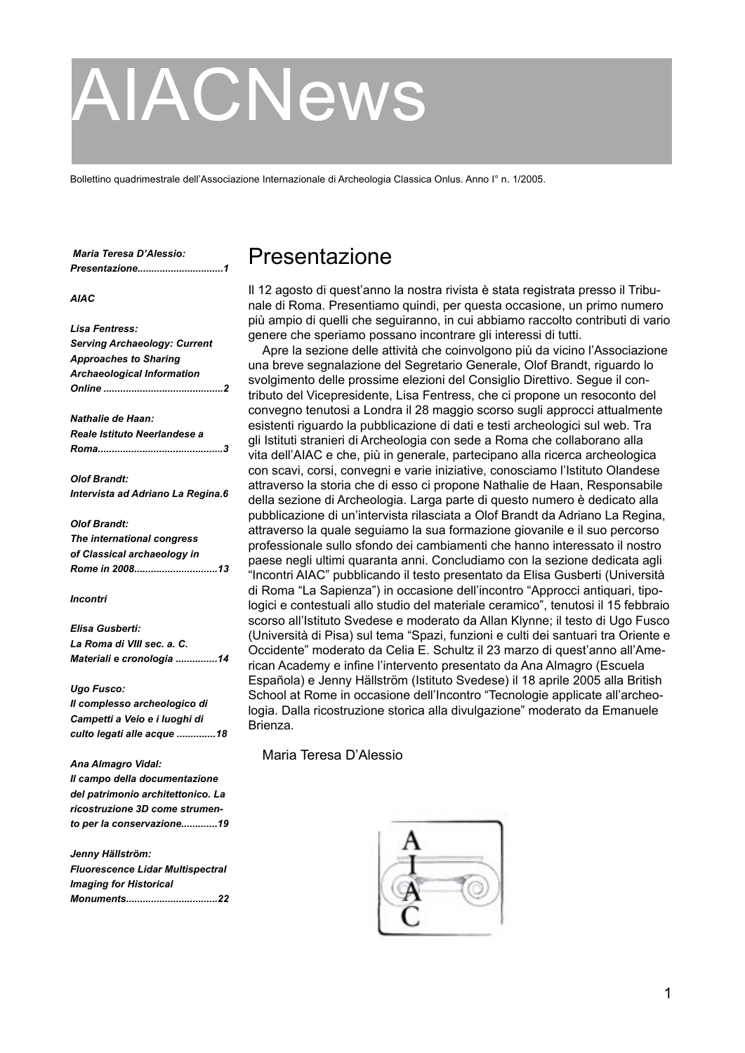# IACNews

Bollettino quadrimestrale dell'Associazione Internazionale di Archeologia Classica Onlus. Anno I° n. 1/2005.

#### *Maria Teresa D'Alessio: Presentazione...............................1*

*AIAC* 

*Lisa Fentress: Serving Archaeology: Current Approaches to Sharing Archaeological Information Online ...........................................2*

*Nathalie de Haan: Reale Istituto Neerlandese a Roma.............................................3*

*Olof Brandt: Intervista ad Adriano La Regina.6*

#### *Olof Brandt:*

| The international congress  |  |
|-----------------------------|--|
| of Classical archaeology in |  |
|                             |  |

*Incontri*

*Elisa Gusberti: La Roma di VIII sec. a. C. Materiali e cronologia ...............14*

*Ugo Fusco:*

*Il complesso archeologico di Campetti a Veio e i luoghi di culto legati alle acque ..............18*

*Ana Almagro Vidal: Il campo della documentazione del patrimonio architettonico. La ricostruzione 3D come strumen-*

*Jenny Hällström: Fluorescence Lidar Multispectral Imaging for Historical Monuments.................................22* 

*to per la conservazione.............19*

## Presentazione

Il 12 agosto di quest'anno la nostra rivista è stata registrata presso il Tribunale di Roma. Presentiamo quindi, per questa occasione, un primo numero più ampio di quelli che seguiranno, in cui abbiamo raccolto contributi di vario genere che speriamo possano incontrare gli interessi di tutti.

Apre la sezione delle attività che coinvolgono più da vicino l'Associazione una breve segnalazione del Segretario Generale, Olof Brandt, riguardo lo svolgimento delle prossime elezioni del Consiglio Direttivo. Segue il contributo del Vicepresidente, Lisa Fentress, che ci propone un resoconto del convegno tenutosi a Londra il 28 maggio scorso sugli approcci attualmente esistenti riguardo la pubblicazione di dati e testi archeologici sul web. Tra gli Istituti stranieri di Archeologia con sede a Roma che collaborano alla vita dell'AIAC e che, più in generale, partecipano alla ricerca archeologica con scavi, corsi, convegni e varie iniziative, conosciamo l'Istituto Olandese attraverso la storia che di esso ci propone Nathalie de Haan, Responsabile della sezione di Archeologia. Larga parte di questo numero è dedicato alla pubblicazione di un'intervista rilasciata a Olof Brandt da Adriano La Regina, attraverso la quale seguiamo la sua formazione giovanile e il suo percorso professionale sullo sfondo dei cambiamenti che hanno interessato il nostro paese negli ultimi quaranta anni. Concludiamo con la sezione dedicata agli "Incontri AIAC" pubblicando il testo presentato da Elisa Gusberti (Università di Roma "La Sapienza") in occasione dell'incontro "Approcci antiquari, tipologici e contestuali allo studio del materiale ceramico", tenutosi il 15 febbraio scorso all'Istituto Svedese e moderato da Allan Klynne; il testo di Ugo Fusco (Università di Pisa) sul tema "Spazi, funzioni e culti dei santuari tra Oriente e Occidente" moderato da Celia E. Schultz il 23 marzo di quest'anno all'American Academy e infine l'intervento presentato da Ana Almagro (Escuela Española) e Jenny Hällström (Istituto Svedese) il 18 aprile 2005 alla British School at Rome in occasione dell'Incontro "Tecnologie applicate all'archeologia. Dalla ricostruzione storica alla divulgazione" moderato da Emanuele Brienza.

Maria Teresa D'Alessio

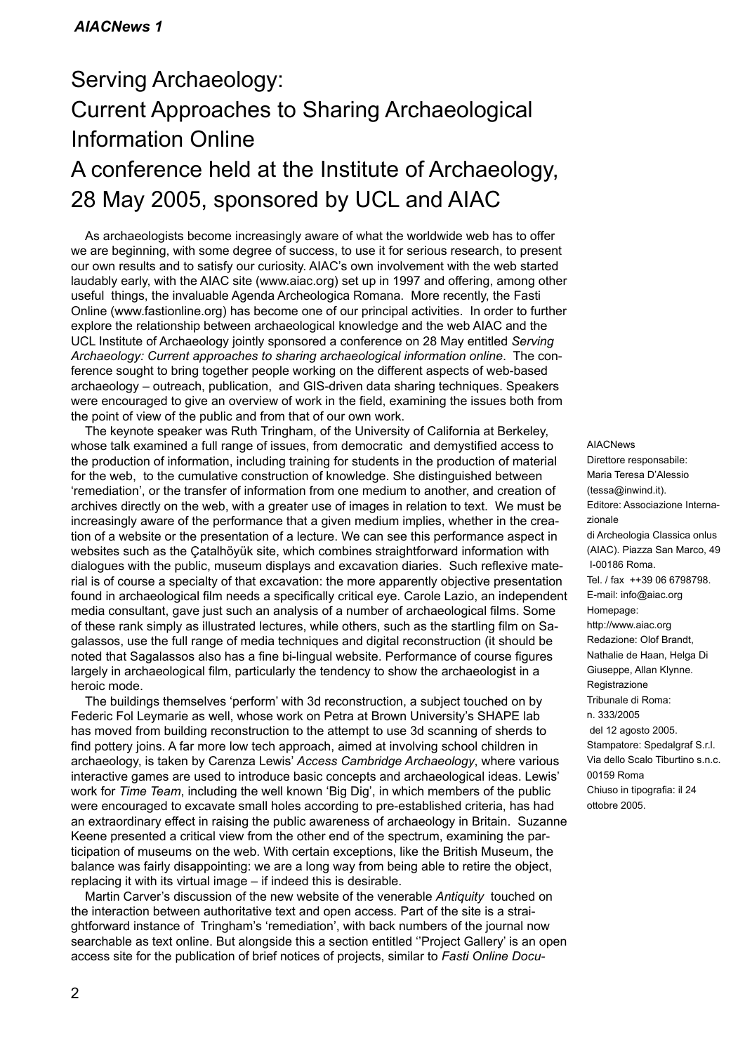# Serving Archaeology: Current Approaches to Sharing Archaeological Information Online A conference held at the Institute of Archaeology, 28 May 2005, sponsored by UCL and AIAC

As archaeologists become increasingly aware of what the worldwide web has to offer we are beginning, with some degree of success, to use it for serious research, to present our own results and to satisfy our curiosity. AIAC's own involvement with the web started laudably early, with the AIAC site (www.aiac.org) set up in 1997 and offering, among other useful things, the invaluable Agenda Archeologica Romana. More recently, the Fasti Online (www.fastionline.org) has become one of our principal activities. In order to further explore the relationship between archaeological knowledge and the web AIAC and the UCL Institute of Archaeology jointly sponsored a conference on 28 May entitled *Serving Archaeology: Current approaches to sharing archaeological information online*. The conference sought to bring together people working on the different aspects of web-based archaeology – outreach, publication, and GIS-driven data sharing techniques. Speakers were encouraged to give an overview of work in the field, examining the issues both from the point of view of the public and from that of our own work.

The keynote speaker was Ruth Tringham, of the University of California at Berkeley, whose talk examined a full range of issues, from democratic and demystified access to the production of information, including training for students in the production of material for the web, to the cumulative construction of knowledge. She distinguished between 'remediation', or the transfer of information from one medium to another, and creation of archives directly on the web, with a greater use of images in relation to text. We must be increasingly aware of the performance that a given medium implies, whether in the creation of a website or the presentation of a lecture. We can see this performance aspect in websites such as the Çatalhöyük site, which combines straightforward information with dialogues with the public, museum displays and excavation diaries. Such reflexive material is of course a specialty of that excavation: the more apparently objective presentation found in archaeological film needs a specifically critical eye. Carole Lazio, an independent media consultant, gave just such an analysis of a number of archaeological films. Some of these rank simply as illustrated lectures, while others, such as the startling film on Sagalassos, use the full range of media techniques and digital reconstruction (it should be noted that Sagalassos also has a fine bi-lingual website. Performance of course figures largely in archaeological film, particularly the tendency to show the archaeologist in a heroic mode.

The buildings themselves 'perform' with 3d reconstruction, a subject touched on by Federic Fol Leymarie as well, whose work on Petra at Brown University's SHAPE lab has moved from building reconstruction to the attempt to use 3d scanning of sherds to find pottery joins. A far more low tech approach, aimed at involving school children in archaeology, is taken by Carenza Lewis' *Access Cambridge Archaeology*, where various interactive games are used to introduce basic concepts and archaeological ideas. Lewis' work for *Time Team*, including the well known 'Big Dig', in which members of the public were encouraged to excavate small holes according to pre-established criteria, has had an extraordinary effect in raising the public awareness of archaeology in Britain. Suzanne Keene presented a critical view from the other end of the spectrum, examining the participation of museums on the web. With certain exceptions, like the British Museum, the balance was fairly disappointing: we are a long way from being able to retire the object, replacing it with its virtual image – if indeed this is desirable.

Martin Carver's discussion of the new website of the venerable *Antiquity* touched on the interaction between authoritative text and open access*.* Part of the site is a straightforward instance of Tringham's 'remediation', with back numbers of the journal now searchable as text online. But alongside this a section entitled "Project Gallery' is an open access site for the publication of brief notices of projects, similar to *Fasti Online Docu-* AIACNews Direttore responsabile: Maria Teresa D'Alessio (tessa@inwind.it). Editore: Associazione Internazionale di Archeologia Classica onlus (AIAC). Piazza San Marco, 49 I-00186 Roma. Tel. / fax ++39 06 6798798. E-mail: info@aiac.org Homepage: http://www.aiac.org Redazione: Olof Brandt, Nathalie de Haan, Helga Di Giuseppe, Allan Klynne. **Registrazione** Tribunale di Roma: n. 333/2005 del 12 agosto 2005. Stampatore: Spedalgraf S.r.l. Via dello Scalo Tiburtino s.n.c. 00159 Roma Chiuso in tipografia: il 24 ottobre 2005.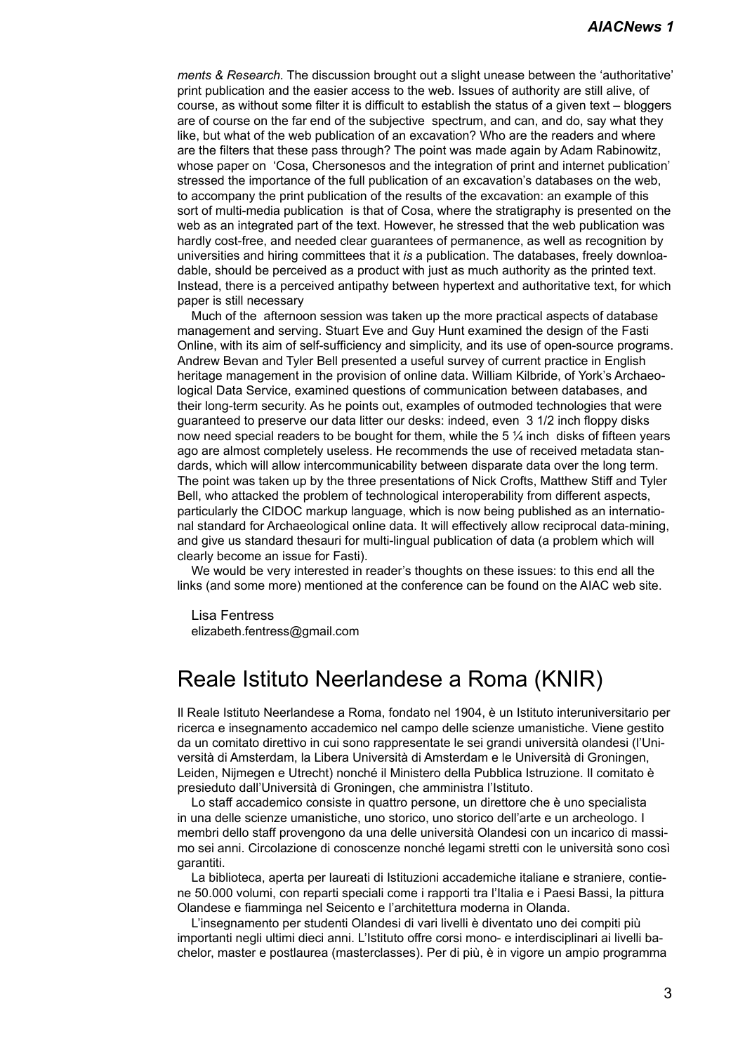*ments & Research.* The discussion brought out a slight unease between the 'authoritative' print publication and the easier access to the web. Issues of authority are still alive, of course, as without some filter it is difficult to establish the status of a given text – bloggers are of course on the far end of the subjective spectrum, and can, and do, say what they like, but what of the web publication of an excavation? Who are the readers and where are the filters that these pass through? The point was made again by Adam Rabinowitz, whose paper on 'Cosa, Chersonesos and the integration of print and internet publication' stressed the importance of the full publication of an excavation's databases on the web, to accompany the print publication of the results of the excavation: an example of this sort of multi-media publication is that of Cosa, where the stratigraphy is presented on the web as an integrated part of the text. However, he stressed that the web publication was hardly cost-free, and needed clear guarantees of permanence, as well as recognition by universities and hiring committees that it *is* a publication. The databases, freely downloadable, should be perceived as a product with just as much authority as the printed text. Instead, there is a perceived antipathy between hypertext and authoritative text, for which paper is still necessary

Much of the afternoon session was taken up the more practical aspects of database management and serving. Stuart Eve and Guy Hunt examined the design of the Fasti Online, with its aim of self-sufficiency and simplicity, and its use of open-source programs. Andrew Bevan and Tyler Bell presented a useful survey of current practice in English heritage management in the provision of online data. William Kilbride, of York's Archaeological Data Service, examined questions of communication between databases, and their long-term security. As he points out, examples of outmoded technologies that were guaranteed to preserve our data litter our desks: indeed, even 3 1/2 inch floppy disks now need special readers to be bought for them, while the 5  $\frac{1}{4}$  inch disks of fifteen years ago are almost completely useless. He recommends the use of received metadata standards, which will allow intercommunicability between disparate data over the long term. The point was taken up by the three presentations of Nick Crofts, Matthew Stiff and Tyler Bell, who attacked the problem of technological interoperability from different aspects, particularly the CIDOC markup language, which is now being published as an international standard for Archaeological online data. It will effectively allow reciprocal data-mining, and give us standard thesauri for multi-lingual publication of data (a problem which will clearly become an issue for Fasti).

We would be very interested in reader's thoughts on these issues: to this end all the links (and some more) mentioned at the conference can be found on the AIAC web site.

Lisa Fentress

elizabeth.fentress@gmail.com

### Reale Istituto Neerlandese a Roma (KNIR)

Il Reale Istituto Neerlandese a Roma, fondato nel 1904, è un Istituto interuniversitario per ricerca e insegnamento accademico nel campo delle scienze umanistiche. Viene gestito da un comitato direttivo in cui sono rappresentate le sei grandi università olandesi (l'Università di Amsterdam, la Libera Università di Amsterdam e le Università di Groningen, Leiden, Nijmegen e Utrecht) nonché il Ministero della Pubblica Istruzione. Il comitato è presieduto dall'Università di Groningen, che amministra l'Istituto.

Lo staff accademico consiste in quattro persone, un direttore che è uno specialista in una delle scienze umanistiche, uno storico, uno storico dell'arte e un archeologo. I membri dello staff provengono da una delle università Olandesi con un incarico di massimo sei anni. Circolazione di conoscenze nonché legami stretti con le università sono così garantiti.

La biblioteca, aperta per laureati di Istituzioni accademiche italiane e straniere, contiene 50.000 volumi, con reparti speciali come i rapporti tra l'Italia e i Paesi Bassi, la pittura Olandese e fiamminga nel Seicento e l'architettura moderna in Olanda.

L'insegnamento per studenti Olandesi di vari livelli è diventato uno dei compiti più importanti negli ultimi dieci anni. L'Istituto offre corsi mono- e interdisciplinari ai livelli bachelor, master e postlaurea (masterclasses). Per di più, è in vigore un ampio programma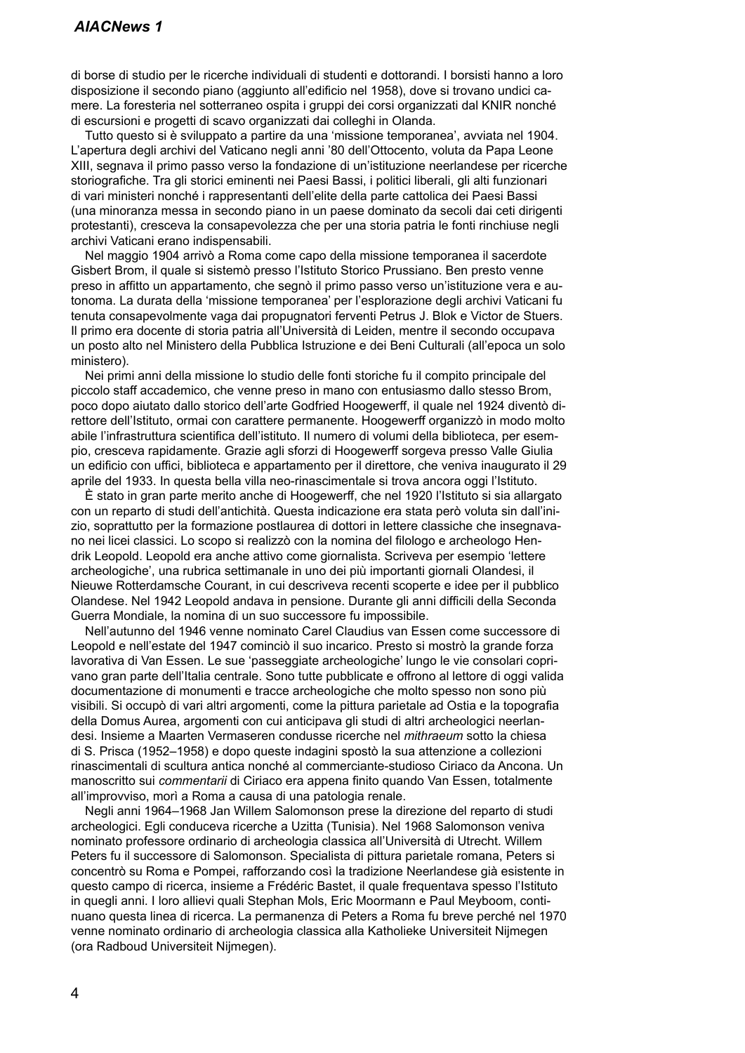di borse di studio per le ricerche individuali di studenti e dottorandi. I borsisti hanno a loro disposizione il secondo piano (aggiunto all'edificio nel 1958), dove si trovano undici camere. La foresteria nel sotterraneo ospita i gruppi dei corsi organizzati dal KNIR nonché di escursioni e progetti di scavo organizzati dai colleghi in Olanda.

Tutto questo si è sviluppato a partire da una 'missione temporanea', avviata nel 1904. L'apertura degli archivi del Vaticano negli anni '80 dell'Ottocento, voluta da Papa Leone XIII, segnava il primo passo verso la fondazione di un'istituzione neerlandese per ricerche storiografiche. Tra gli storici eminenti nei Paesi Bassi, i politici liberali, gli alti funzionari di vari ministeri nonché i rappresentanti dell'elite della parte cattolica dei Paesi Bassi (una minoranza messa in secondo piano in un paese dominato da secoli dai ceti dirigenti protestanti), cresceva la consapevolezza che per una storia patria le fonti rinchiuse negli archivi Vaticani erano indispensabili.

Nel maggio 1904 arrivò a Roma come capo della missione temporanea il sacerdote Gisbert Brom, il quale si sistemò presso l'Istituto Storico Prussiano. Ben presto venne preso in affitto un appartamento, che segnò il primo passo verso un'istituzione vera e autonoma. La durata della 'missione temporanea' per l'esplorazione degli archivi Vaticani fu tenuta consapevolmente vaga dai propugnatori ferventi Petrus J. Blok e Victor de Stuers. Il primo era docente di storia patria all'Università di Leiden, mentre il secondo occupava un posto alto nel Ministero della Pubblica Istruzione e dei Beni Culturali (all'epoca un solo ministero).

Nei primi anni della missione lo studio delle fonti storiche fu il compito principale del piccolo staff accademico, che venne preso in mano con entusiasmo dallo stesso Brom, poco dopo aiutato dallo storico dell'arte Godfried Hoogewerff, il quale nel 1924 diventò direttore dell'Istituto, ormai con carattere permanente. Hoogewerff organizzò in modo molto abile l'infrastruttura scientifica dell'istituto. Il numero di volumi della biblioteca, per esempio, cresceva rapidamente. Grazie agli sforzi di Hoogewerff sorgeva presso Valle Giulia un edificio con uffici, biblioteca e appartamento per il direttore, che veniva inaugurato il 29 aprile del 1933. In questa bella villa neo-rinascimentale si trova ancora oggi l'Istituto.

È stato in gran parte merito anche di Hoogewerff, che nel 1920 l'Istituto si sia allargato con un reparto di studi dell'antichità. Questa indicazione era stata però voluta sin dall'inizio, soprattutto per la formazione postlaurea di dottori in lettere classiche che insegnavano nei licei classici. Lo scopo si realizzò con la nomina del filologo e archeologo Hendrik Leopold. Leopold era anche attivo come giornalista. Scriveva per esempio 'lettere archeologiche', una rubrica settimanale in uno dei più importanti giornali Olandesi, il Nieuwe Rotterdamsche Courant, in cui descriveva recenti scoperte e idee per il pubblico Olandese. Nel 1942 Leopold andava in pensione. Durante gli anni difficili della Seconda Guerra Mondiale, la nomina di un suo successore fu impossibile.

Nell'autunno del 1946 venne nominato Carel Claudius van Essen come successore di Leopold e nell'estate del 1947 cominciò il suo incarico. Presto si mostrò la grande forza lavorativa di Van Essen. Le sue 'passeggiate archeologiche' lungo le vie consolari coprivano gran parte dell'Italia centrale. Sono tutte pubblicate e offrono al lettore di oggi valida documentazione di monumenti e tracce archeologiche che molto spesso non sono più visibili. Si occupò di vari altri argomenti, come la pittura parietale ad Ostia e la topografia della Domus Aurea, argomenti con cui anticipava gli studi di altri archeologici neerlandesi. Insieme a Maarten Vermaseren condusse ricerche nel *mithraeum* sotto la chiesa di S. Prisca (1952–1958) e dopo queste indagini spostò la sua attenzione a collezioni rinascimentali di scultura antica nonché al commerciante-studioso Ciriaco da Ancona. Un manoscritto sui *commentarii* di Ciriaco era appena finito quando Van Essen, totalmente all'improvviso, morì a Roma a causa di una patologia renale.

Negli anni 1964–1968 Jan Willem Salomonson prese la direzione del reparto di studi archeologici. Egli conduceva ricerche a Uzitta (Tunisia). Nel 1968 Salomonson veniva nominato professore ordinario di archeologia classica all'Università di Utrecht. Willem Peters fu il successore di Salomonson. Specialista di pittura parietale romana, Peters si concentrò su Roma e Pompei, rafforzando così la tradizione Neerlandese già esistente in questo campo di ricerca, insieme a Frédéric Bastet, il quale frequentava spesso l'Istituto in quegli anni. I loro allievi quali Stephan Mols, Eric Moormann e Paul Meyboom, continuano questa linea di ricerca. La permanenza di Peters a Roma fu breve perché nel 1970 venne nominato ordinario di archeologia classica alla Katholieke Universiteit Nijmegen (ora Radboud Universiteit Nijmegen).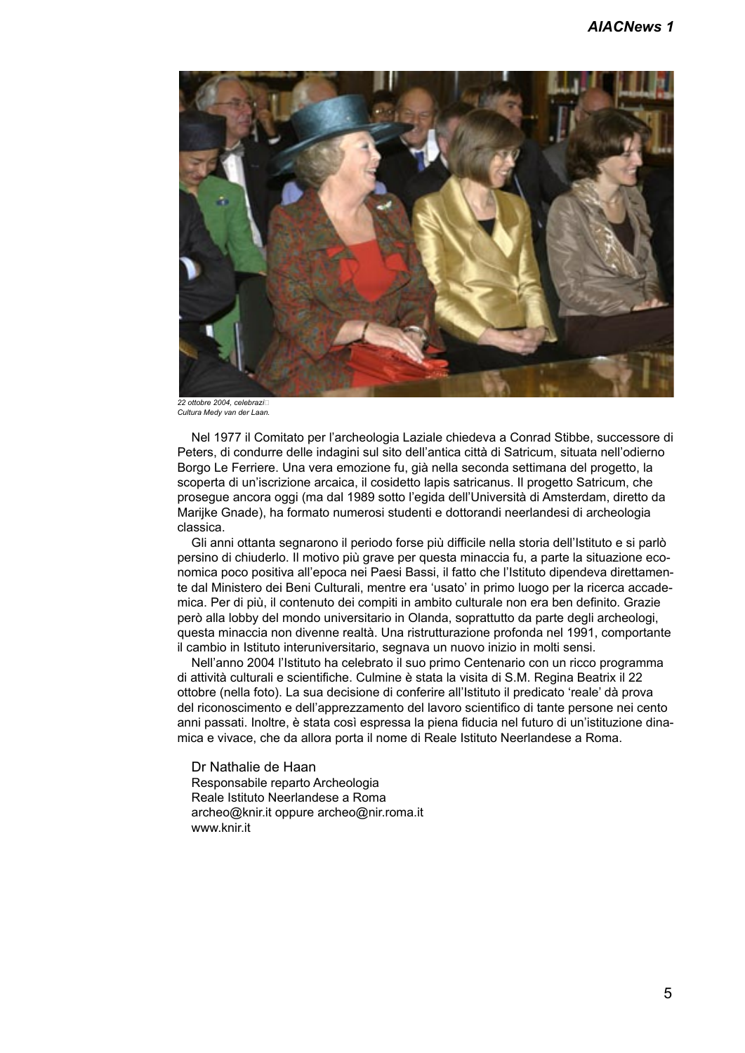

*Cultura Medy van der Laan.* 

Nel 1977 il Comitato per l'archeologia Laziale chiedeva a Conrad Stibbe, successore di Peters, di condurre delle indagini sul sito dell'antica città di Satricum, situata nell'odierno Borgo Le Ferriere. Una vera emozione fu, già nella seconda settimana del progetto, la scoperta di un'iscrizione arcaica, il cosidetto lapis satricanus. Il progetto Satricum, che prosegue ancora oggi (ma dal 1989 sotto l'egida dell'Università di Amsterdam, diretto da Marijke Gnade), ha formato numerosi studenti e dottorandi neerlandesi di archeologia classica.

Gli anni ottanta segnarono il periodo forse più difficile nella storia dell'Istituto e si parlò persino di chiuderlo. Il motivo più grave per questa minaccia fu, a parte la situazione economica poco positiva all'epoca nei Paesi Bassi, il fatto che l'Istituto dipendeva direttamente dal Ministero dei Beni Culturali, mentre era 'usato' in primo luogo per la ricerca accademica. Per di più, il contenuto dei compiti in ambito culturale non era ben definito. Grazie però alla lobby del mondo universitario in Olanda, soprattutto da parte degli archeologi, questa minaccia non divenne realtà. Una ristrutturazione profonda nel 1991, comportante il cambio in Istituto interuniversitario, segnava un nuovo inizio in molti sensi.

Nell'anno 2004 l'Istituto ha celebrato il suo primo Centenario con un ricco programma di attività culturali e scientifiche. Culmine è stata la visita di S.M. Regina Beatrix il 22 ottobre (nella foto). La sua decisione di conferire all'Istituto il predicato 'reale' dà prova del riconoscimento e dell'apprezzamento del lavoro scientifico di tante persone nei cento anni passati. Inoltre, è stata così espressa la piena fiducia nel futuro di un'istituzione dinamica e vivace, che da allora porta il nome di Reale Istituto Neerlandese a Roma.

Dr Nathalie de Haan Responsabile reparto Archeologia Reale Istituto Neerlandese a Roma archeo@knir.it oppure archeo@nir.roma.it www.knir.it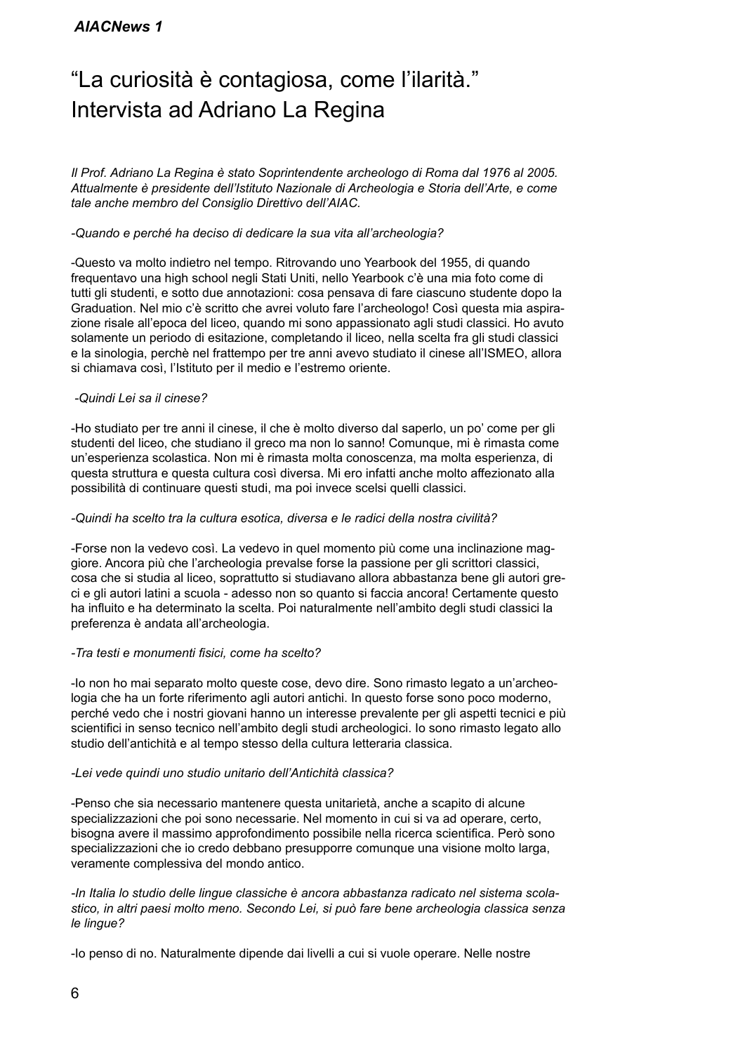#### *AIACNews 1*

## "La curiosità è contagiosa, come l'ilarità." Intervista ad Adriano La Regina

*Il Prof. Adriano La Regina è stato Soprintendente archeologo di Roma dal 1976 al 2005. Attualmente è presidente dell'Istituto Nazionale di Archeologia e Storia dell'Arte, e come tale anche membro del Consiglio Direttivo dell'AIAC.* 

#### *-Quando e perché ha deciso di dedicare la sua vita all'archeologia?*

-Questo va molto indietro nel tempo. Ritrovando uno Yearbook del 1955, di quando frequentavo una high school negli Stati Uniti, nello Yearbook c'è una mia foto come di tutti gli studenti, e sotto due annotazioni: cosa pensava di fare ciascuno studente dopo la Graduation. Nel mio c'è scritto che avrei voluto fare l'archeologo! Così questa mia aspirazione risale all'epoca del liceo, quando mi sono appassionato agli studi classici. Ho avuto solamente un periodo di esitazione, completando il liceo, nella scelta fra gli studi classici e la sinologia, perchè nel frattempo per tre anni avevo studiato il cinese all'ISMEO, allora si chiamava così, l'Istituto per il medio e l'estremo oriente.

#### *-Quindi Lei sa il cinese?*

-Ho studiato per tre anni il cinese, il che è molto diverso dal saperlo, un po' come per gli studenti del liceo, che studiano il greco ma non lo sanno! Comunque, mi è rimasta come un'esperienza scolastica. Non mi è rimasta molta conoscenza, ma molta esperienza, di questa struttura e questa cultura così diversa. Mi ero infatti anche molto affezionato alla possibilità di continuare questi studi, ma poi invece scelsi quelli classici.

#### *-Quindi ha scelto tra la cultura esotica, diversa e le radici della nostra civilità?*

-Forse non la vedevo così. La vedevo in quel momento più come una inclinazione maggiore. Ancora più che l'archeologia prevalse forse la passione per gli scrittori classici, cosa che si studia al liceo, soprattutto si studiavano allora abbastanza bene gli autori greci e gli autori latini a scuola - adesso non so quanto si faccia ancora! Certamente questo ha influito e ha determinato la scelta. Poi naturalmente nell'ambito degli studi classici la preferenza è andata all'archeologia.

#### *-Tra testi e monumenti fisici, come ha scelto?*

-Io non ho mai separato molto queste cose, devo dire. Sono rimasto legato a un'archeologia che ha un forte riferimento agli autori antichi. In questo forse sono poco moderno, perché vedo che i nostri giovani hanno un interesse prevalente per gli aspetti tecnici e più scientifici in senso tecnico nell'ambito degli studi archeologici. Io sono rimasto legato allo studio dell'antichità e al tempo stesso della cultura letteraria classica.

#### *-Lei vede quindi uno studio unitario dell'Antichità classica?*

-Penso che sia necessario mantenere questa unitarietà, anche a scapito di alcune specializzazioni che poi sono necessarie. Nel momento in cui si va ad operare, certo, bisogna avere il massimo approfondimento possibile nella ricerca scientifica. Però sono specializzazioni che io credo debbano presupporre comunque una visione molto larga, veramente complessiva del mondo antico.

*-In Italia lo studio delle lingue classiche è ancora abbastanza radicato nel sistema scolastico, in altri paesi molto meno. Secondo Lei, si può fare bene archeologia classica senza le lingue?*

-Io penso di no. Naturalmente dipende dai livelli a cui si vuole operare. Nelle nostre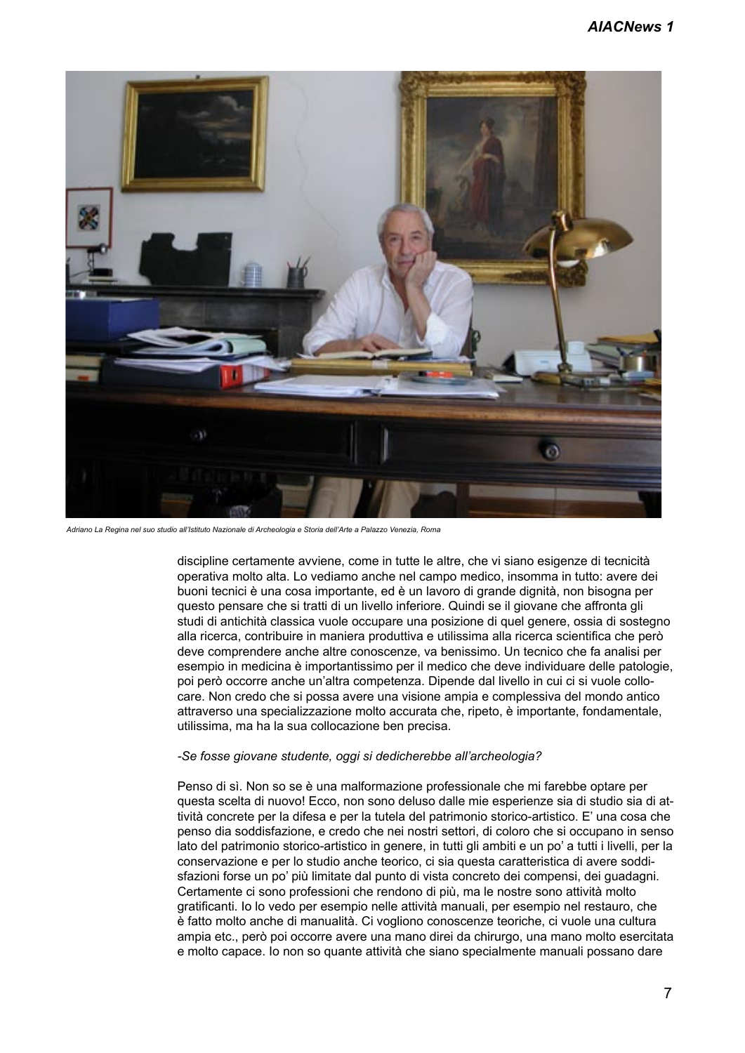

*Adriano La Regina nel suo studio all'Istituto Nazionale di Archeologia e Storia dell'Arte a Palazzo Venezia, Roma*

discipline certamente avviene, come in tutte le altre, che vi siano esigenze di tecnicità operativa molto alta. Lo vediamo anche nel campo medico, insomma in tutto: avere dei buoni tecnici è una cosa importante, ed è un lavoro di grande dignità, non bisogna per questo pensare che si tratti di un livello inferiore. Quindi se il giovane che affronta gli studi di antichità classica vuole occupare una posizione di quel genere, ossia di sostegno alla ricerca, contribuire in maniera produttiva e utilissima alla ricerca scientifica che però deve comprendere anche altre conoscenze, va benissimo. Un tecnico che fa analisi per esempio in medicina è importantissimo per il medico che deve individuare delle patologie, poi però occorre anche un'altra competenza. Dipende dal livello in cui ci si vuole collocare. Non credo che si possa avere una visione ampia e complessiva del mondo antico attraverso una specializzazione molto accurata che, ripeto, è importante, fondamentale, utilissima, ma ha la sua collocazione ben precisa.

#### *-Se fosse giovane studente, oggi si dedicherebbe all'archeologia?*

Penso di sì. Non so se è una malformazione professionale che mi farebbe optare per questa scelta di nuovo! Ecco, non sono deluso dalle mie esperienze sia di studio sia di attività concrete per la difesa e per la tutela del patrimonio storico-artistico. E' una cosa che penso dia soddisfazione, e credo che nei nostri settori, di coloro che si occupano in senso lato del patrimonio storico-artistico in genere, in tutti gli ambiti e un po' a tutti i livelli, per la conservazione e per lo studio anche teorico, ci sia questa caratteristica di avere soddisfazioni forse un po' più limitate dal punto di vista concreto dei compensi, dei guadagni. Certamente ci sono professioni che rendono di più, ma le nostre sono attività molto gratificanti. Io lo vedo per esempio nelle attività manuali, per esempio nel restauro, che è fatto molto anche di manualità. Ci vogliono conoscenze teoriche, ci vuole una cultura ampia etc., però poi occorre avere una mano direi da chirurgo, una mano molto esercitata e molto capace. Io non so quante attività che siano specialmente manuali possano dare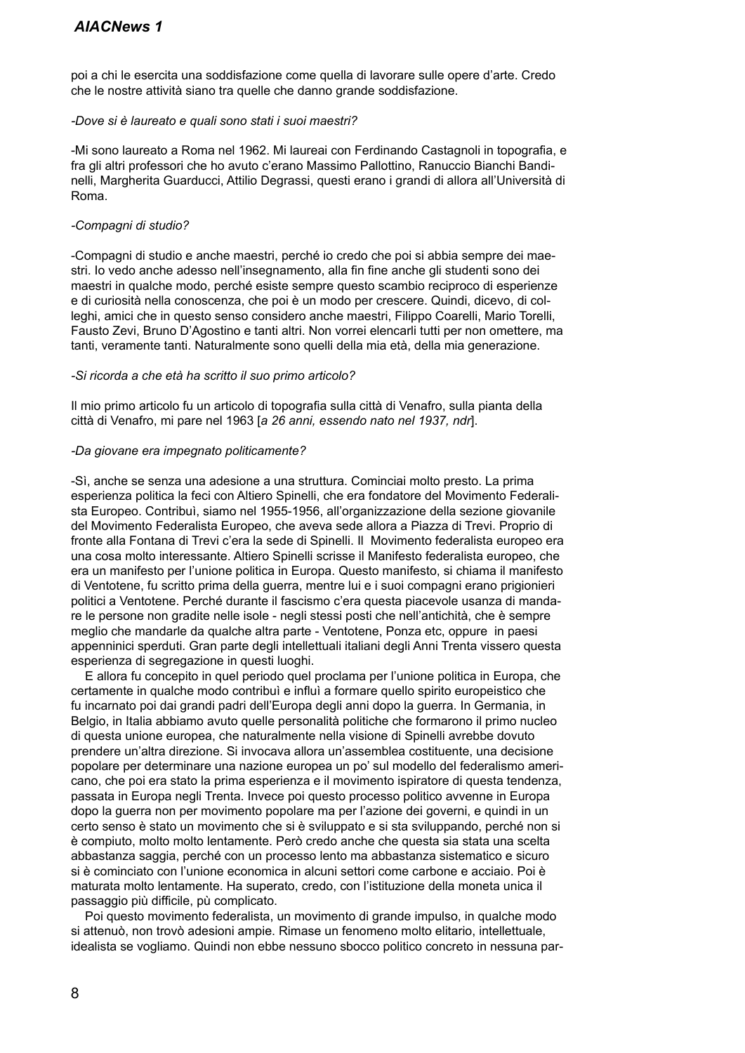poi a chi le esercita una soddisfazione come quella di lavorare sulle opere d'arte. Credo che le nostre attività siano tra quelle che danno grande soddisfazione.

#### *-Dove si è laureato e quali sono stati i suoi maestri?*

-Mi sono laureato a Roma nel 1962. Mi laureai con Ferdinando Castagnoli in topografia, e fra gli altri professori che ho avuto c'erano Massimo Pallottino, Ranuccio Bianchi Bandinelli, Margherita Guarducci, Attilio Degrassi, questi erano i grandi di allora all'Università di Roma.

#### *-Compagni di studio?*

-Compagni di studio e anche maestri, perché io credo che poi si abbia sempre dei maestri. Io vedo anche adesso nell'insegnamento, alla fin fine anche gli studenti sono dei maestri in qualche modo, perché esiste sempre questo scambio reciproco di esperienze e di curiosità nella conoscenza, che poi è un modo per crescere. Quindi, dicevo, di colleghi, amici che in questo senso considero anche maestri, Filippo Coarelli, Mario Torelli, Fausto Zevi, Bruno D'Agostino e tanti altri. Non vorrei elencarli tutti per non omettere, ma tanti, veramente tanti. Naturalmente sono quelli della mia età, della mia generazione.

#### *-Si ricorda a che età ha scritto il suo primo articolo?*

Il mio primo articolo fu un articolo di topografia sulla città di Venafro, sulla pianta della città di Venafro, mi pare nel 1963 [*a 26 anni, essendo nato nel 1937, ndr*].

#### *-Da giovane era impegnato politicamente?*

-Sì, anche se senza una adesione a una struttura. Cominciai molto presto. La prima esperienza politica la feci con Altiero Spinelli, che era fondatore del Movimento Federalista Europeo. Contribuì, siamo nel 1955-1956, all'organizzazione della sezione giovanile del Movimento Federalista Europeo, che aveva sede allora a Piazza di Trevi. Proprio di fronte alla Fontana di Trevi c'era la sede di Spinelli. Il Movimento federalista europeo era una cosa molto interessante. Altiero Spinelli scrisse il Manifesto federalista europeo, che era un manifesto per l'unione politica in Europa. Questo manifesto, si chiama il manifesto di Ventotene, fu scritto prima della guerra, mentre lui e i suoi compagni erano prigionieri politici a Ventotene. Perché durante il fascismo c'era questa piacevole usanza di mandare le persone non gradite nelle isole - negli stessi posti che nell'antichità, che è sempre meglio che mandarle da qualche altra parte - Ventotene, Ponza etc, oppure in paesi appenninici sperduti. Gran parte degli intellettuali italiani degli Anni Trenta vissero questa esperienza di segregazione in questi luoghi.

E allora fu concepito in quel periodo quel proclama per l'unione politica in Europa, che certamente in qualche modo contribuì e influì a formare quello spirito europeistico che fu incarnato poi dai grandi padri dell'Europa degli anni dopo la guerra. In Germania, in Belgio, in Italia abbiamo avuto quelle personalità politiche che formarono il primo nucleo di questa unione europea, che naturalmente nella visione di Spinelli avrebbe dovuto prendere un'altra direzione. Si invocava allora un'assemblea costituente, una decisione popolare per determinare una nazione europea un po' sul modello del federalismo americano, che poi era stato la prima esperienza e il movimento ispiratore di questa tendenza, passata in Europa negli Trenta. Invece poi questo processo politico avvenne in Europa dopo la guerra non per movimento popolare ma per l'azione dei governi, e quindi in un certo senso è stato un movimento che si è sviluppato e si sta sviluppando, perché non si è compiuto, molto molto lentamente. Però credo anche che questa sia stata una scelta abbastanza saggia, perché con un processo lento ma abbastanza sistematico e sicuro si è cominciato con l'unione economica in alcuni settori come carbone e acciaio. Poi è maturata molto lentamente. Ha superato, credo, con l'istituzione della moneta unica il passaggio più difficile, pù complicato.

Poi questo movimento federalista, un movimento di grande impulso, in qualche modo si attenuò, non trovò adesioni ampie. Rimase un fenomeno molto elitario, intellettuale, idealista se vogliamo. Quindi non ebbe nessuno sbocco politico concreto in nessuna par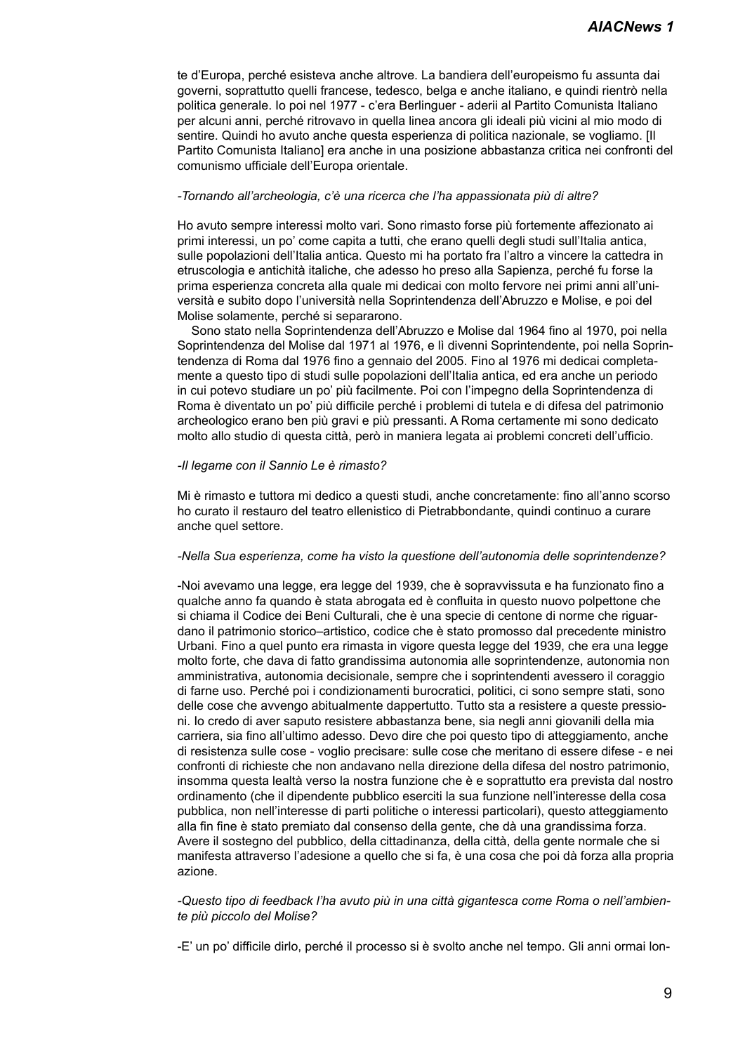te d'Europa, perché esisteva anche altrove. La bandiera dell'europeismo fu assunta dai governi, soprattutto quelli francese, tedesco, belga e anche italiano, e quindi rientrò nella politica generale. Io poi nel 1977 - c'era Berlinguer - aderii al Partito Comunista Italiano per alcuni anni, perché ritrovavo in quella linea ancora gli ideali più vicini al mio modo di sentire. Quindi ho avuto anche questa esperienza di politica nazionale, se vogliamo. [Il Partito Comunista Italiano] era anche in una posizione abbastanza critica nei confronti del comunismo ufficiale dell'Europa orientale.

#### *-Tornando all'archeologia, c'è una ricerca che l'ha appassionata più di altre?*

Ho avuto sempre interessi molto vari. Sono rimasto forse più fortemente affezionato ai primi interessi, un po' come capita a tutti, che erano quelli degli studi sull'Italia antica, sulle popolazioni dell'Italia antica. Questo mi ha portato fra l'altro a vincere la cattedra in etruscologia e antichità italiche, che adesso ho preso alla Sapienza, perché fu forse la prima esperienza concreta alla quale mi dedicai con molto fervore nei primi anni all'università e subito dopo l'università nella Soprintendenza dell'Abruzzo e Molise, e poi del Molise solamente, perché si separarono.

Sono stato nella Soprintendenza dell'Abruzzo e Molise dal 1964 fino al 1970, poi nella Soprintendenza del Molise dal 1971 al 1976, e lì divenni Soprintendente, poi nella Soprintendenza di Roma dal 1976 fino a gennaio del 2005. Fino al 1976 mi dedicai completamente a questo tipo di studi sulle popolazioni dell'Italia antica, ed era anche un periodo in cui potevo studiare un po' più facilmente. Poi con l'impegno della Soprintendenza di Roma è diventato un po' più difficile perché i problemi di tutela e di difesa del patrimonio archeologico erano ben più gravi e più pressanti. A Roma certamente mi sono dedicato molto allo studio di questa città, però in maniera legata ai problemi concreti dell'ufficio.

#### *-Il legame con il Sannio Le è rimasto?*

Mi è rimasto e tuttora mi dedico a questi studi, anche concretamente: fino all'anno scorso ho curato il restauro del teatro ellenistico di Pietrabbondante, quindi continuo a curare anche quel settore.

#### *-Nella Sua esperienza, come ha visto la questione dell'autonomia delle soprintendenze?*

-Noi avevamo una legge, era legge del 1939, che è sopravvissuta e ha funzionato fino a qualche anno fa quando è stata abrogata ed è confluita in questo nuovo polpettone che si chiama il Codice dei Beni Culturali, che è una specie di centone di norme che riguardano il patrimonio storico–artistico, codice che è stato promosso dal precedente ministro Urbani. Fino a quel punto era rimasta in vigore questa legge del 1939, che era una legge molto forte, che dava di fatto grandissima autonomia alle soprintendenze, autonomia non amministrativa, autonomia decisionale, sempre che i soprintendenti avessero il coraggio di farne uso. Perché poi i condizionamenti burocratici, politici, ci sono sempre stati, sono delle cose che avvengo abitualmente dappertutto. Tutto sta a resistere a queste pressioni. Io credo di aver saputo resistere abbastanza bene, sia negli anni giovanili della mia carriera, sia fino all'ultimo adesso. Devo dire che poi questo tipo di atteggiamento, anche di resistenza sulle cose - voglio precisare: sulle cose che meritano di essere difese - e nei confronti di richieste che non andavano nella direzione della difesa del nostro patrimonio, insomma questa lealtà verso la nostra funzione che è e soprattutto era prevista dal nostro ordinamento (che il dipendente pubblico eserciti la sua funzione nell'interesse della cosa pubblica, non nell'interesse di parti politiche o interessi particolari), questo atteggiamento alla fin fine è stato premiato dal consenso della gente, che dà una grandissima forza. Avere il sostegno del pubblico, della cittadinanza, della città, della gente normale che si manifesta attraverso l'adesione a quello che si fa, è una cosa che poi dà forza alla propria azione.

#### *-Questo tipo di feedback l'ha avuto più in una città gigantesca come Roma o nell'ambiente più piccolo del Molise?*

-E' un po' difficile dirlo, perché il processo si è svolto anche nel tempo. Gli anni ormai lon-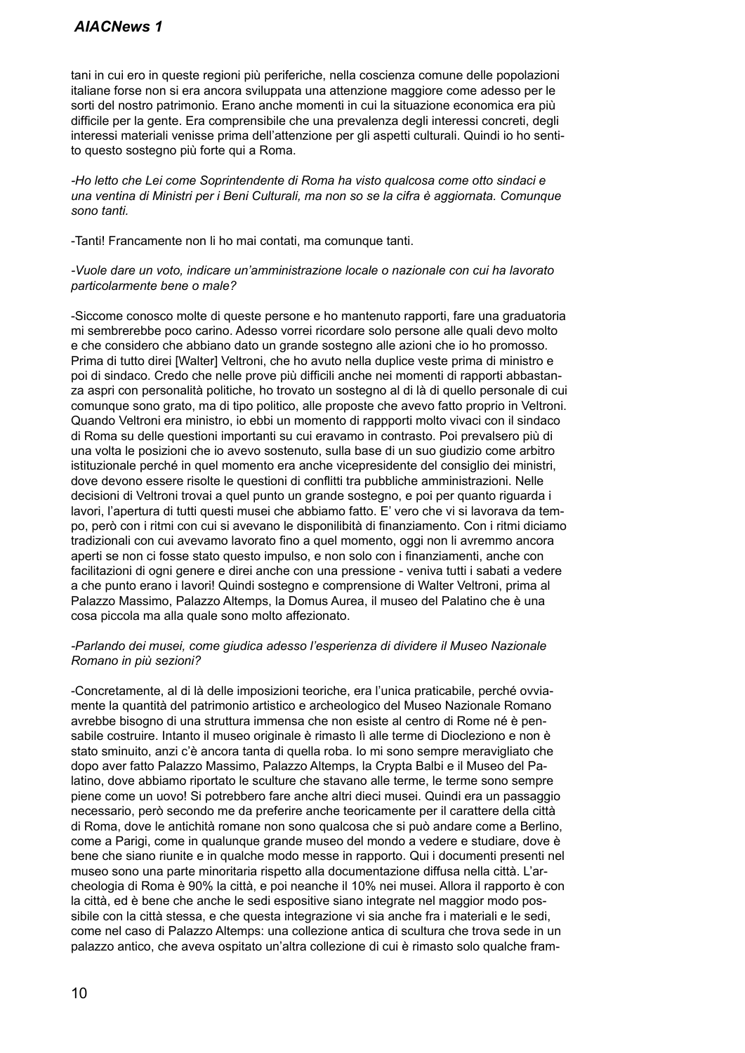tani in cui ero in queste regioni più periferiche, nella coscienza comune delle popolazioni italiane forse non si era ancora sviluppata una attenzione maggiore come adesso per le sorti del nostro patrimonio. Erano anche momenti in cui la situazione economica era più difficile per la gente. Era comprensibile che una prevalenza degli interessi concreti, degli interessi materiali venisse prima dell'attenzione per gli aspetti culturali. Quindi io ho sentito questo sostegno più forte qui a Roma.

*-Ho letto che Lei come Soprintendente di Roma ha visto qualcosa come otto sindaci e una ventina di Ministri per i Beni Culturali, ma non so se la cifra è aggiornata. Comunque sono tanti.* 

-Tanti! Francamente non li ho mai contati, ma comunque tanti.

*-Vuole dare un voto, indicare un'amministrazione locale o nazionale con cui ha lavorato particolarmente bene o male?*

-Siccome conosco molte di queste persone e ho mantenuto rapporti, fare una graduatoria mi sembrerebbe poco carino. Adesso vorrei ricordare solo persone alle quali devo molto e che considero che abbiano dato un grande sostegno alle azioni che io ho promosso. Prima di tutto direi [Walter] Veltroni, che ho avuto nella duplice veste prima di ministro e poi di sindaco. Credo che nelle prove più difficili anche nei momenti di rapporti abbastanza aspri con personalità politiche, ho trovato un sostegno al di là di quello personale di cui comunque sono grato, ma di tipo politico, alle proposte che avevo fatto proprio in Veltroni. Quando Veltroni era ministro, io ebbi un momento di rappporti molto vivaci con il sindaco di Roma su delle questioni importanti su cui eravamo in contrasto. Poi prevalsero più di una volta le posizioni che io avevo sostenuto, sulla base di un suo giudizio come arbitro istituzionale perché in quel momento era anche vicepresidente del consiglio dei ministri, dove devono essere risolte le questioni di conflitti tra pubbliche amministrazioni. Nelle decisioni di Veltroni trovai a quel punto un grande sostegno, e poi per quanto riguarda i lavori, l'apertura di tutti questi musei che abbiamo fatto. E' vero che vi si lavorava da tempo, però con i ritmi con cui si avevano le disponilibità di finanziamento. Con i ritmi diciamo tradizionali con cui avevamo lavorato fino a quel momento, oggi non li avremmo ancora aperti se non ci fosse stato questo impulso, e non solo con i finanziamenti, anche con facilitazioni di ogni genere e direi anche con una pressione - veniva tutti i sabati a vedere a che punto erano i lavori! Quindi sostegno e comprensione di Walter Veltroni, prima al Palazzo Massimo, Palazzo Altemps, la Domus Aurea, il museo del Palatino che è una cosa piccola ma alla quale sono molto affezionato.

#### *-Parlando dei musei, come giudica adesso l'esperienza di dividere il Museo Nazionale Romano in più sezioni?*

-Concretamente, al di là delle imposizioni teoriche, era l'unica praticabile, perché ovviamente la quantità del patrimonio artistico e archeologico del Museo Nazionale Romano avrebbe bisogno di una struttura immensa che non esiste al centro di Rome né è pensabile costruire. Intanto il museo originale è rimasto lì alle terme di Diocleziono e non è stato sminuito, anzi c'è ancora tanta di quella roba. Io mi sono sempre meravigliato che dopo aver fatto Palazzo Massimo, Palazzo Altemps, la Crypta Balbi e il Museo del Palatino, dove abbiamo riportato le sculture che stavano alle terme, le terme sono sempre piene come un uovo! Si potrebbero fare anche altri dieci musei. Quindi era un passaggio necessario, però secondo me da preferire anche teoricamente per il carattere della città di Roma, dove le antichità romane non sono qualcosa che si può andare come a Berlino, come a Parigi, come in qualunque grande museo del mondo a vedere e studiare, dove è bene che siano riunite e in qualche modo messe in rapporto. Qui i documenti presenti nel museo sono una parte minoritaria rispetto alla documentazione diffusa nella città. L'archeologia di Roma è 90% la città, e poi neanche il 10% nei musei. Allora il rapporto è con la città, ed è bene che anche le sedi espositive siano integrate nel maggior modo possibile con la città stessa, e che questa integrazione vi sia anche fra i materiali e le sedi, come nel caso di Palazzo Altemps: una collezione antica di scultura che trova sede in un palazzo antico, che aveva ospitato un'altra collezione di cui è rimasto solo qualche fram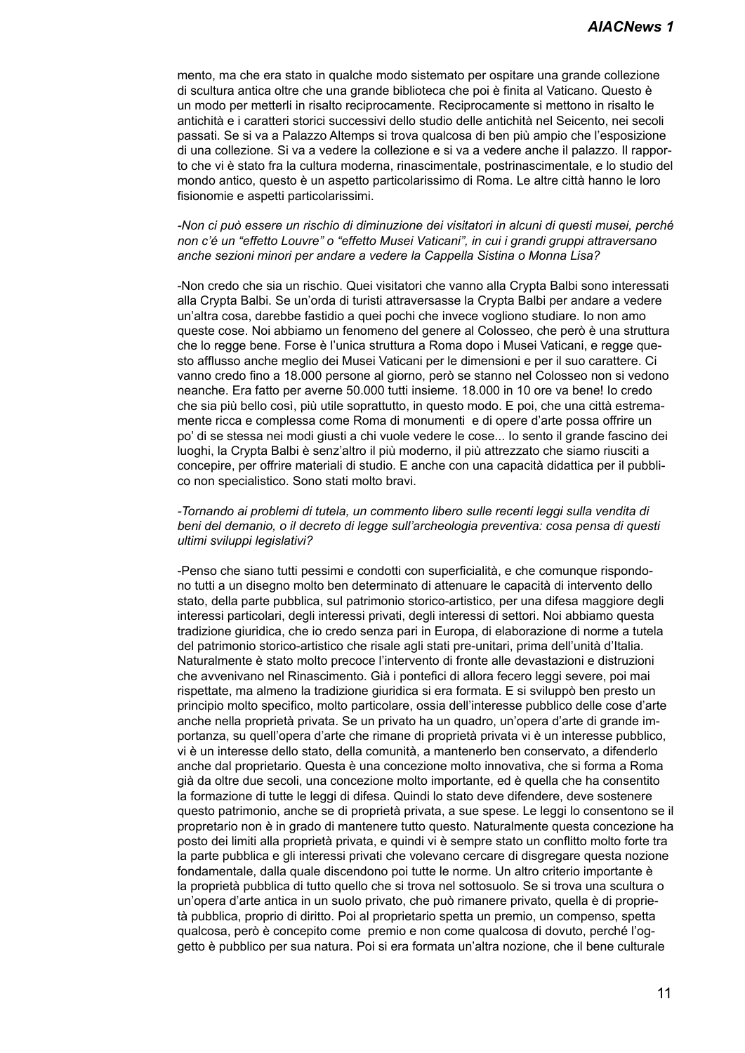mento, ma che era stato in qualche modo sistemato per ospitare una grande collezione di scultura antica oltre che una grande biblioteca che poi è finita al Vaticano. Questo è un modo per metterli in risalto reciprocamente. Reciprocamente si mettono in risalto le antichità e i caratteri storici successivi dello studio delle antichità nel Seicento, nei secoli passati. Se si va a Palazzo Altemps si trova qualcosa di ben più ampio che l'esposizione di una collezione. Si va a vedere la collezione e si va a vedere anche il palazzo. Il rapporto che vi è stato fra la cultura moderna, rinascimentale, postrinascimentale, e lo studio del mondo antico, questo è un aspetto particolarissimo di Roma. Le altre città hanno le loro fisionomie e aspetti particolarissimi.

*-Non ci può essere un rischio di diminuzione dei visitatori in alcuni di questi musei, perché non c'é un "effetto Louvre" o "effetto Musei Vaticani", in cui i grandi gruppi attraversano anche sezioni minori per andare a vedere la Cappella Sistina o Monna Lisa?*

-Non credo che sia un rischio. Quei visitatori che vanno alla Crypta Balbi sono interessati alla Crypta Balbi. Se un'orda di turisti attraversasse la Crypta Balbi per andare a vedere un'altra cosa, darebbe fastidio a quei pochi che invece vogliono studiare. Io non amo queste cose. Noi abbiamo un fenomeno del genere al Colosseo, che però è una struttura che lo regge bene. Forse è l'unica struttura a Roma dopo i Musei Vaticani, e regge questo afflusso anche meglio dei Musei Vaticani per le dimensioni e per il suo carattere. Ci vanno credo fino a 18.000 persone al giorno, però se stanno nel Colosseo non si vedono neanche. Era fatto per averne 50.000 tutti insieme. 18.000 in 10 ore va bene! Io credo che sia più bello così, più utile soprattutto, in questo modo. E poi, che una città estremamente ricca e complessa come Roma di monumenti e di opere d'arte possa offrire un po' di se stessa nei modi giusti a chi vuole vedere le cose... Io sento il grande fascino dei luoghi, la Crypta Balbi è senz'altro il più moderno, il più attrezzato che siamo riusciti a concepire, per offrire materiali di studio. E anche con una capacità didattica per il pubblico non specialistico. Sono stati molto bravi.

#### *-Tornando ai problemi di tutela, un commento libero sulle recenti leggi sulla vendita di beni del demanio, o il decreto di legge sull'archeologia preventiva: cosa pensa di questi ultimi sviluppi legislativi?*

-Penso che siano tutti pessimi e condotti con superficialità, e che comunque rispondono tutti a un disegno molto ben determinato di attenuare le capacità di intervento dello stato, della parte pubblica, sul patrimonio storico-artistico, per una difesa maggiore degli interessi particolari, degli interessi privati, degli interessi di settori. Noi abbiamo questa tradizione giuridica, che io credo senza pari in Europa, di elaborazione di norme a tutela del patrimonio storico-artistico che risale agli stati pre-unitari, prima dell'unità d'Italia. Naturalmente è stato molto precoce l'intervento di fronte alle devastazioni e distruzioni che avvenivano nel Rinascimento. Già i pontefici di allora fecero leggi severe, poi mai rispettate, ma almeno la tradizione giuridica si era formata. E si sviluppò ben presto un principio molto specifico, molto particolare, ossia dell'interesse pubblico delle cose d'arte anche nella proprietà privata. Se un privato ha un quadro, un'opera d'arte di grande importanza, su quell'opera d'arte che rimane di proprietà privata vi è un interesse pubblico, vi è un interesse dello stato, della comunità, a mantenerlo ben conservato, a difenderlo anche dal proprietario. Questa è una concezione molto innovativa, che si forma a Roma già da oltre due secoli, una concezione molto importante, ed è quella che ha consentito la formazione di tutte le leggi di difesa. Quindi lo stato deve difendere, deve sostenere questo patrimonio, anche se di proprietà privata, a sue spese. Le leggi lo consentono se il propretario non è in grado di mantenere tutto questo. Naturalmente questa concezione ha posto dei limiti alla proprietà privata, e quindi vi è sempre stato un conflitto molto forte tra la parte pubblica e gli interessi privati che volevano cercare di disgregare questa nozione fondamentale, dalla quale discendono poi tutte le norme. Un altro criterio importante è la proprietà pubblica di tutto quello che si trova nel sottosuolo. Se si trova una scultura o un'opera d'arte antica in un suolo privato, che può rimanere privato, quella è di proprietà pubblica, proprio di diritto. Poi al proprietario spetta un premio, un compenso, spetta qualcosa, però è concepito come premio e non come qualcosa di dovuto, perché l'oggetto è pubblico per sua natura. Poi si era formata un'altra nozione, che il bene culturale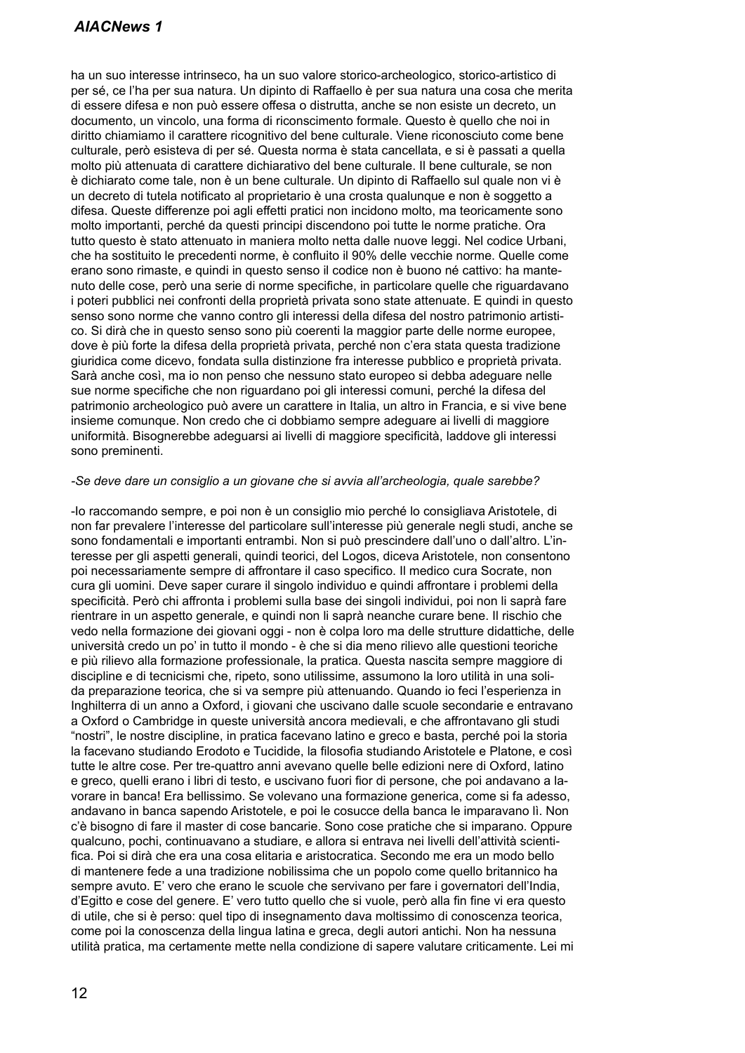ha un suo interesse intrinseco, ha un suo valore storico-archeologico, storico-artistico di per sé, ce l'ha per sua natura. Un dipinto di Raffaello è per sua natura una cosa che merita di essere difesa e non può essere offesa o distrutta, anche se non esiste un decreto, un documento, un vincolo, una forma di riconscimento formale. Questo è quello che noi in diritto chiamiamo il carattere ricognitivo del bene culturale. Viene riconosciuto come bene culturale, però esisteva di per sé. Questa norma è stata cancellata, e si è passati a quella molto più attenuata di carattere dichiarativo del bene culturale. Il bene culturale, se non è dichiarato come tale, non è un bene culturale. Un dipinto di Raffaello sul quale non vi è un decreto di tutela notificato al proprietario è una crosta qualunque e non è soggetto a difesa. Queste differenze poi agli effetti pratici non incidono molto, ma teoricamente sono molto importanti, perché da questi principi discendono poi tutte le norme pratiche. Ora tutto questo è stato attenuato in maniera molto netta dalle nuove leggi. Nel codice Urbani, che ha sostituito le precedenti norme, è confluito il 90% delle vecchie norme. Quelle come erano sono rimaste, e quindi in questo senso il codice non è buono né cattivo: ha mantenuto delle cose, però una serie di norme specifiche, in particolare quelle che riguardavano i poteri pubblici nei confronti della proprietà privata sono state attenuate. E quindi in questo senso sono norme che vanno contro gli interessi della difesa del nostro patrimonio artistico. Si dirà che in questo senso sono più coerenti la maggior parte delle norme europee, dove è più forte la difesa della proprietà privata, perché non c'era stata questa tradizione giuridica come dicevo, fondata sulla distinzione fra interesse pubblico e proprietà privata. Sarà anche così, ma io non penso che nessuno stato europeo si debba adeguare nelle sue norme specifiche che non riguardano poi gli interessi comuni, perché la difesa del patrimonio archeologico può avere un carattere in Italia, un altro in Francia, e si vive bene insieme comunque. Non credo che ci dobbiamo sempre adeguare ai livelli di maggiore uniformità. Bisognerebbe adeguarsi ai livelli di maggiore specificità, laddove gli interessi sono preminenti.

#### *-Se deve dare un consiglio a un giovane che si avvia all'archeologia, quale sarebbe?*

-Io raccomando sempre, e poi non è un consiglio mio perché lo consigliava Aristotele, di non far prevalere l'interesse del particolare sull'interesse più generale negli studi, anche se sono fondamentali e importanti entrambi. Non si può prescindere dall'uno o dall'altro. L'interesse per gli aspetti generali, quindi teorici, del Logos, diceva Aristotele, non consentono poi necessariamente sempre di affrontare il caso specifico. Il medico cura Socrate, non cura gli uomini. Deve saper curare il singolo individuo e quindi affrontare i problemi della specificità. Però chi affronta i problemi sulla base dei singoli individui, poi non li saprà fare rientrare in un aspetto generale, e quindi non li saprà neanche curare bene. Il rischio che vedo nella formazione dei giovani oggi - non è colpa loro ma delle strutture didattiche, delle università credo un po' in tutto il mondo - è che si dia meno rilievo alle questioni teoriche e più rilievo alla formazione professionale, la pratica. Questa nascita sempre maggiore di discipline e di tecnicismi che, ripeto, sono utilissime, assumono la loro utilità in una solida preparazione teorica, che si va sempre più attenuando. Quando io feci l'esperienza in Inghilterra di un anno a Oxford, i giovani che uscivano dalle scuole secondarie e entravano a Oxford o Cambridge in queste università ancora medievali, e che affrontavano gli studi "nostri", le nostre discipline, in pratica facevano latino e greco e basta, perché poi la storia la facevano studiando Erodoto e Tucidide, la filosofia studiando Aristotele e Platone, e così tutte le altre cose. Per tre-quattro anni avevano quelle belle edizioni nere di Oxford, latino e greco, quelli erano i libri di testo, e uscivano fuori fior di persone, che poi andavano a lavorare in banca! Era bellissimo. Se volevano una formazione generica, come si fa adesso, andavano in banca sapendo Aristotele, e poi le cosucce della banca le imparavano lì. Non c'è bisogno di fare il master di cose bancarie. Sono cose pratiche che si imparano. Oppure qualcuno, pochi, continuavano a studiare, e allora si entrava nei livelli dell'attività scientifica. Poi si dirà che era una cosa elitaria e aristocratica. Secondo me era un modo bello di mantenere fede a una tradizione nobilissima che un popolo come quello britannico ha sempre avuto. E' vero che erano le scuole che servivano per fare i governatori dell'India, d'Egitto e cose del genere. E' vero tutto quello che si vuole, però alla fin fine vi era questo di utile, che si è perso: quel tipo di insegnamento dava moltissimo di conoscenza teorica, come poi la conoscenza della lingua latina e greca, degli autori antichi. Non ha nessuna utilità pratica, ma certamente mette nella condizione di sapere valutare criticamente. Lei mi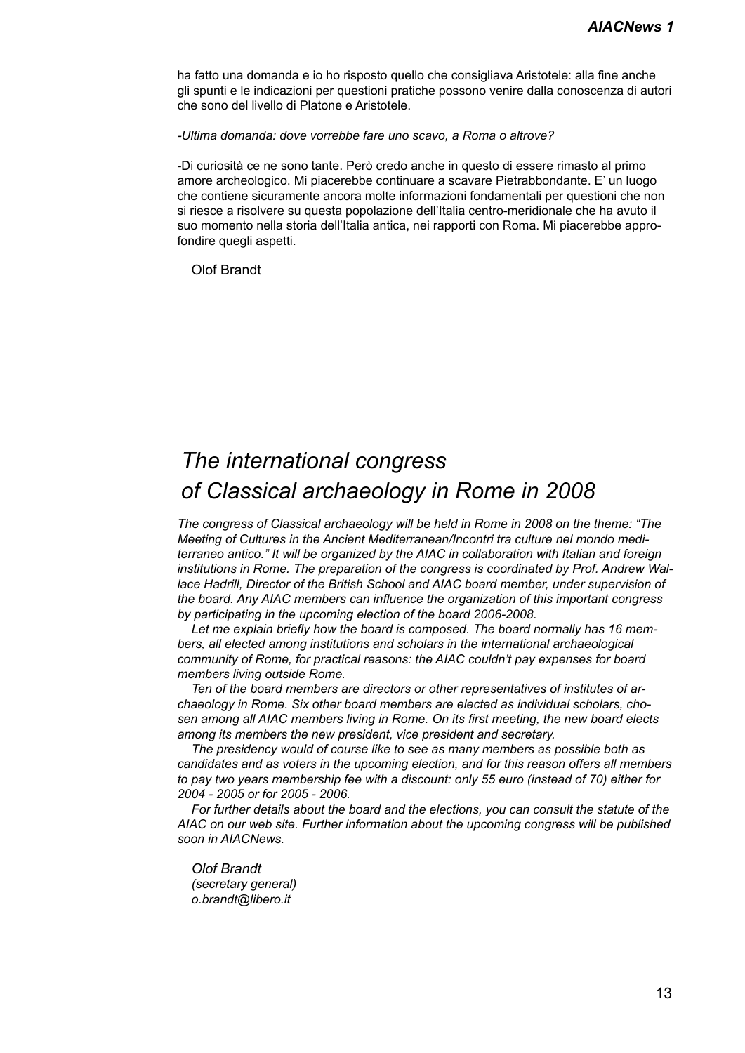ha fatto una domanda e io ho risposto quello che consigliava Aristotele: alla fine anche gli spunti e le indicazioni per questioni pratiche possono venire dalla conoscenza di autori che sono del livello di Platone e Aristotele.

*-Ultima domanda: dove vorrebbe fare uno scavo, a Roma o altrove?*

-Di curiosità ce ne sono tante. Però credo anche in questo di essere rimasto al primo amore archeologico. Mi piacerebbe continuare a scavare Pietrabbondante. E' un luogo che contiene sicuramente ancora molte informazioni fondamentali per questioni che non si riesce a risolvere su questa popolazione dell'Italia centro-meridionale che ha avuto il suo momento nella storia dell'Italia antica, nei rapporti con Roma. Mi piacerebbe approfondire quegli aspetti.

Olof Brandt

## *The international congress of Classical archaeology in Rome in 2008*

*The congress of Classical archaeology will be held in Rome in 2008 on the theme: "The Meeting of Cultures in the Ancient Mediterranean/Incontri tra culture nel mondo mediterraneo antico." It will be organized by the AIAC in collaboration with Italian and foreign institutions in Rome. The preparation of the congress is coordinated by Prof. Andrew Wallace Hadrill, Director of the British School and AIAC board member, under supervision of the board. Any AIAC members can influence the organization of this important congress by participating in the upcoming election of the board 2006-2008.* 

*Let me explain briefly how the board is composed. The board normally has 16 members, all elected among institutions and scholars in the international archaeological community of Rome, for practical reasons: the AIAC couldn't pay expenses for board members living outside Rome.* 

*Ten of the board members are directors or other representatives of institutes of archaeology in Rome. Six other board members are elected as individual scholars, chosen among all AIAC members living in Rome. On its first meeting, the new board elects among its members the new president, vice president and secretary.* 

*The presidency would of course like to see as many members as possible both as candidates and as voters in the upcoming election, and for this reason offers all members to pay two years membership fee with a discount: only 55 euro (instead of 70) either for 2004 - 2005 or for 2005 - 2006.*

*For further details about the board and the elections, you can consult the statute of the AIAC on our web site. Further information about the upcoming congress will be published soon in AIACNews.* 

*Olof Brandt (secretary general) o.brandt@libero.it*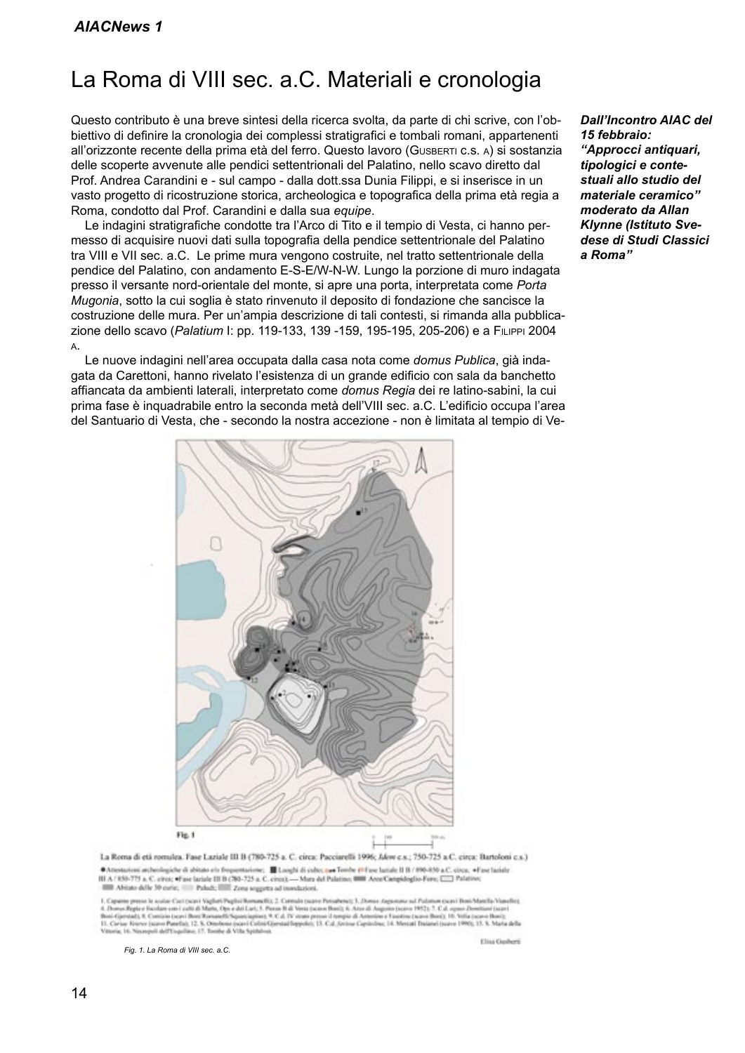## La Roma di VIII sec. a.C. Materiali e cronologia

Questo contributo è una breve sintesi della ricerca svolta, da parte di chi scrive, con l'obbiettivo di definire la cronologia dei complessi stratigrafici e tombali romani, appartenenti all'orizzonte recente della prima età del ferro. Questo lavoro (GUSBERTI c.s. A) si sostanzia delle scoperte avvenute alle pendici settentrionali del Palatino, nello scavo diretto dal Prof. Andrea Carandini e - sul campo - dalla dott.ssa Dunia Filippi, e si inserisce in un vasto progetto di ricostruzione storica, archeologica e topografica della prima età regia a Roma, condotto dal Prof. Carandini e dalla sua *equipe*.

Le indagini stratigrafiche condotte tra l'Arco di Tito e il tempio di Vesta, ci hanno permesso di acquisire nuovi dati sulla topografia della pendice settentrionale del Palatino tra VIII e VII sec. a.C. Le prime mura vengono costruite, nel tratto settentrionale della pendice del Palatino, con andamento E-S-E/W-N-W. Lungo la porzione di muro indagata presso il versante nord-orientale del monte, si apre una porta, interpretata come *Porta Mugonia*, sotto la cui soglia è stato rinvenuto il deposito di fondazione che sancisce la costruzione delle mura. Per un'ampia descrizione di tali contesti, si rimanda alla pubblicazione dello scavo (*Palatium* I: pp. 119-133, 139 -159, 195-195, 205-206) e a FILIPPI 2004 A.

Le nuove indagini nell'area occupata dalla casa nota come *domus Publica*, già indagata da Carettoni, hanno rivelato l'esistenza di un grande edificio con sala da banchetto affiancata da ambienti laterali, interpretato come *domus Regia* dei re latino-sabini, la cui prima fase è inquadrabile entro la seconda metà dell'VIII sec. a.C. L'edificio occupa l'area del Santuario di Vesta, che - secondo la nostra accezione - non è limitata al tempio di Ve-

Fig. 1

La Roma di età romalea. Fase Laziale III B (780-725 a. C. circa: Pacciarelli 1996; Idem c.s.; 750-725 a.C. circa: Bartoloni c.s.) ● Amentazioni archeologiche di abitato els frequentazione; ■ Laoghi di cubic; que Tombe (# Fase laziale II B / 890-850 a.C. circu; +Fase laziale HI A / 850-775 a.C. circs; # use lariale III B (780-725 a.C. circa); - Mura del Palatino; IIIIII Arce/Campidoglio-Fore; [111] Palatino; 1000 Abitato delle 30 curie; 1000 Paludi; 1000 Zona soggetta ad insendazioni.

1. Capanie presso la acalia: Carl (nors) Vagliari/Pagliai Romandi); 2. Carmala (norse Persubanc); 3. Domas Augustus ad Palamon (nors) Boni/Marcha Vanedicti, 4. Domas Regis e Foodare con i acid di Marta, Ogn e dei Luci; 3.

*Fig. 1. La Roma di VIII sec. a.C.* 

*Dall'Incontro AIAC del 15 febbraio: "Approcci antiquari, tipologici e contestuali allo studio del materiale ceramico" moderato da Allan Klynne (Istituto Svedese di Studi Classici a Roma"*

Elisa Gusheri

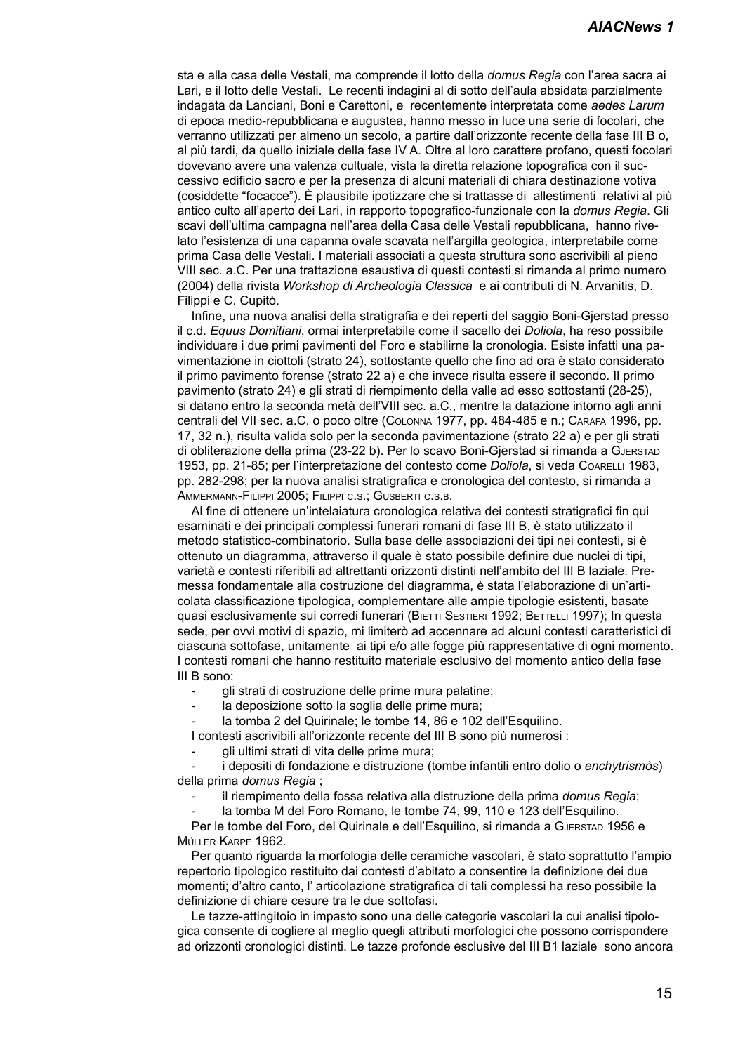sta e alla casa delle Vestali, ma comprende il lotto della *domus Regia* con l'area sacra ai Lari, e il lotto delle Vestali. Le recenti indagini al di sotto dell'aula absidata parzialmente indagata da Lanciani, Boni e Carettoni, e recentemente interpretata come *aedes Larum* di epoca medio-repubblicana e augustea, hanno messo in luce una serie di focolari, che verranno utilizzati per almeno un secolo, a partire dall'orizzonte recente della fase III B o, al più tardi, da quello iniziale della fase IV A. Oltre al loro carattere profano, questi focolari dovevano avere una valenza cultuale, vista la diretta relazione topografica con il successivo edificio sacro e per la presenza di alcuni materiali di chiara destinazione votiva (cosiddette "focacce"). È plausibile ipotizzare che si trattasse di allestimenti relativi al più antico culto all'aperto dei Lari, in rapporto topografico-funzionale con la *domus Regia*. Gli scavi dell'ultima campagna nell'area della Casa delle Vestali repubblicana, hanno rivelato l'esistenza di una capanna ovale scavata nell'argilla geologica, interpretabile come prima Casa delle Vestali. I materiali associati a questa struttura sono ascrivibili al pieno VIII sec. a.C. Per una trattazione esaustiva di questi contesti si rimanda al primo numero (2004) della rivista *Workshop di Archeologia Classica* e ai contributi di N. Arvanitis, D. Filippi e C. Cupitò.

Infine, una nuova analisi della stratigrafia e dei reperti del saggio Boni-Gjerstad presso il c.d. *Equus Domitiani*, ormai interpretabile come il sacello dei *Doliola*, ha reso possibile individuare i due primi pavimenti del Foro e stabilirne la cronologia. Esiste infatti una pavimentazione in ciottoli (strato 24), sottostante quello che fino ad ora è stato considerato il primo pavimento forense (strato 22 a) e che invece risulta essere il secondo. Il primo pavimento (strato 24) e gli strati di riempimento della valle ad esso sottostanti (28-25), si datano entro la seconda metà dell'VIII sec. a.C., mentre la datazione intorno agli anni centrali del VII sec. a.C. o poco oltre (COLONNA 1977, pp. 484-485 e n.; CARAFA 1996, pp. 17, 32 n.), risulta valida solo per la seconda pavimentazione (strato 22 a) e per gli strati di obliterazione della prima (23-22 b). Per lo scavo Boni-Gjerstad si rimanda a GJERSTAD 1953, pp. 21-85; per l'interpretazione del contesto come *Doliola*, si veda COARELLI 1983, pp. 282-298; per la nuova analisi stratigrafica e cronologica del contesto, si rimanda a AMMERMANN-FILIPPI 2005; FILIPPI C.S.; GUSBERTI C.S.B.

Al fine di ottenere un'intelaiatura cronologica relativa dei contesti stratigrafici fin qui esaminati e dei principali complessi funerari romani di fase III B, è stato utilizzato il metodo statistico-combinatorio. Sulla base delle associazioni dei tipi nei contesti, si è ottenuto un diagramma, attraverso il quale è stato possibile definire due nuclei di tipi, varietà e contesti riferibili ad altrettanti orizzonti distinti nell'ambito del III B laziale. Premessa fondamentale alla costruzione del diagramma, è stata l'elaborazione di un'articolata classificazione tipologica, complementare alle ampie tipologie esistenti, basate quasi esclusivamente sui corredi funerari (BIETTI SESTIERI 1992; BETTELLI 1997); In questa sede, per ovvi motivi di spazio, mi limiterò ad accennare ad alcuni contesti caratteristici di ciascuna sottofase, unitamente ai tipi e/o alle fogge più rappresentative di ogni momento. I contesti romani che hanno restituito materiale esclusivo del momento antico della fase III B sono:

- gli strati di costruzione delle prime mura palatine;
- la deposizione sotto la soglia delle prime mura;
- la tomba 2 del Quirinale; le tombe 14, 86 e 102 dell'Esquilino.

I contesti ascrivibili all'orizzonte recente del III B sono più numerosi :

gli ultimi strati di vita delle prime mura;

i depositi di fondazione e distruzione (tombe infantili entro dolio o *enchytrismòs*) della prima *domus Regia* ;

- il riempimento della fossa relativa alla distruzione della prima *domus Regia*;

la tomba M del Foro Romano, le tombe 74, 99, 110 e 123 dell'Esquilino.

Per le tombe del Foro, del Quirinale e dell'Esquilino, si rimanda a GJERSTAD 1956 e MÜLLER KARPE 1962.

Per quanto riguarda la morfologia delle ceramiche vascolari, è stato soprattutto l'ampio repertorio tipologico restituito dai contesti d'abitato a consentire la definizione dei due momenti; d'altro canto, l' articolazione stratigrafica di tali complessi ha reso possibile la definizione di chiare cesure tra le due sottofasi.

Le tazze-attingitoio in impasto sono una delle categorie vascolari la cui analisi tipologica consente di cogliere al meglio quegli attributi morfologici che possono corrispondere ad orizzonti cronologici distinti. Le tazze profonde esclusive del III B1 laziale sono ancora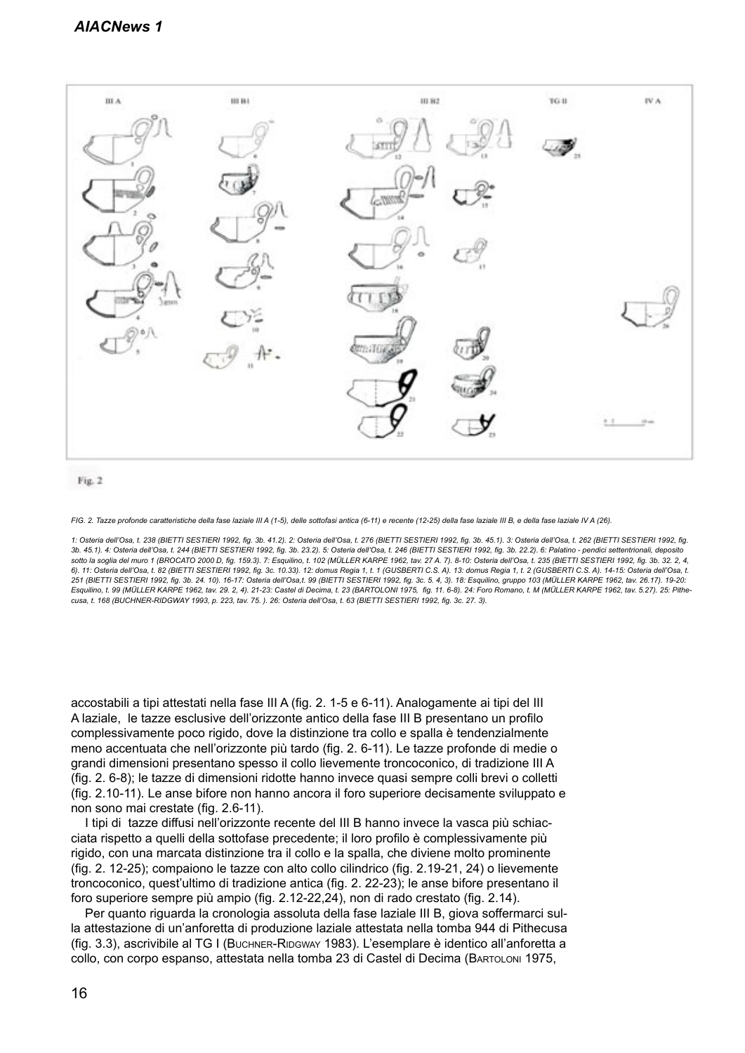

Fig. 2

*FIG. 2. Tazze profonde caratteristiche della fase laziale III A (1-5), delle sottofasi antica (6-11) e recente (12-25) della fase laziale III B, e della fase laziale IV A (26).* 

*1: Osteria dell'Osa, t. 238 (BIETTI SESTIERI 1992, fig. 3b. 41.2). 2: Osteria dell'Osa, t. 276 (BIETTI SESTIERI 1992, fig. 3b. 45.1). 3: Osteria dell'Osa, t. 262 (BIETTI SESTIERI 1992, fig. 3b. 45.1). 4: Osteria dell'Osa, t. 244 (BIETTI SESTIERI 1992, fig. 3b. 23.2). 5: Osteria dell'Osa, t. 246 (BIETTI SESTIERI 1992, fig. 3b. 22.2). 6: Palatino - pendici settentrionali, deposito sotto la soglia del muro 1 (BROCATO 2000 D, fig. 159.3). 7: Esquilino, t. 102 (MÜLLER KARPE 1962, tav. 27 A. 7). 8-10: Osteria dell'Osa, t. 235 (BIETTI SESTIERI 1992, fig. 3b. 32. 2, 4, 6). 11: Osteria dell'Osa, t. 82 (BIETTI SESTIERI 1992, fig. 3c. 10.33). 12: domus Regia 1, t. 1 (GUSBERTI C.S. A). 13: domus Regia 1, t. 2 (GUSBERTI C.S. A). 14-15: Osteria dell'Osa, t. 251 (BIETTI SESTIERI 1992, fig. 3b. 24. 10). 16-17: Osteria dell'Osa,t. 99 (BIETTI SESTIERI 1992, fig. 3c. 5. 4, 3). 18: Esquilino, gruppo 103 (MÜLLER KARPE 1962, tav. 26.17). 19-20: Esquilino, t. 99 (MÜLLER KARPE 1962, tav. 29. 2, 4). 21-23: Castel di Decima, t. 23 (BARTOLONI 1975, fig. 11. 6-8). 24: Foro Romano, t. M (MÜLLER KARPE 1962, tav. 5.27). 25: Pithecusa, t. 168 (BUCHNER-RIDGWAY 1993, p. 223, tav. 75. ). 26: Osteria dell'Osa, t. 63 (BIETTI SESTIERI 1992, fig. 3c. 27. 3).*

accostabili a tipi attestati nella fase III A (fig. 2. 1-5 e 6-11). Analogamente ai tipi del III A laziale, le tazze esclusive dell'orizzonte antico della fase III B presentano un profilo complessivamente poco rigido, dove la distinzione tra collo e spalla è tendenzialmente meno accentuata che nell'orizzonte più tardo (fig. 2. 6-11). Le tazze profonde di medie o grandi dimensioni presentano spesso il collo lievemente troncoconico, di tradizione III A (fig. 2. 6-8); le tazze di dimensioni ridotte hanno invece quasi sempre colli brevi o colletti (fig. 2.10-11). Le anse bifore non hanno ancora il foro superiore decisamente sviluppato e non sono mai crestate (fig. 2.6-11).

I tipi di tazze diffusi nell'orizzonte recente del III B hanno invece la vasca più schiacciata rispetto a quelli della sottofase precedente; il loro profilo è complessivamente più rigido, con una marcata distinzione tra il collo e la spalla, che diviene molto prominente (fig. 2. 12-25); compaiono le tazze con alto collo cilindrico (fig. 2.19-21, 24) o lievemente troncoconico, quest'ultimo di tradizione antica (fig. 2. 22-23); le anse bifore presentano il foro superiore sempre più ampio (fig. 2.12-22,24), non di rado crestato (fig. 2.14).

Per quanto riguarda la cronologia assoluta della fase laziale III B, giova soffermarci sulla attestazione di un'anforetta di produzione laziale attestata nella tomba 944 di Pithecusa (fig. 3.3), ascrivibile al TG I (BUCHNER-RIDGWAY 1983). L'esemplare è identico all'anforetta a collo, con corpo espanso, attestata nella tomba 23 di Castel di Decima (BARTOLONI 1975,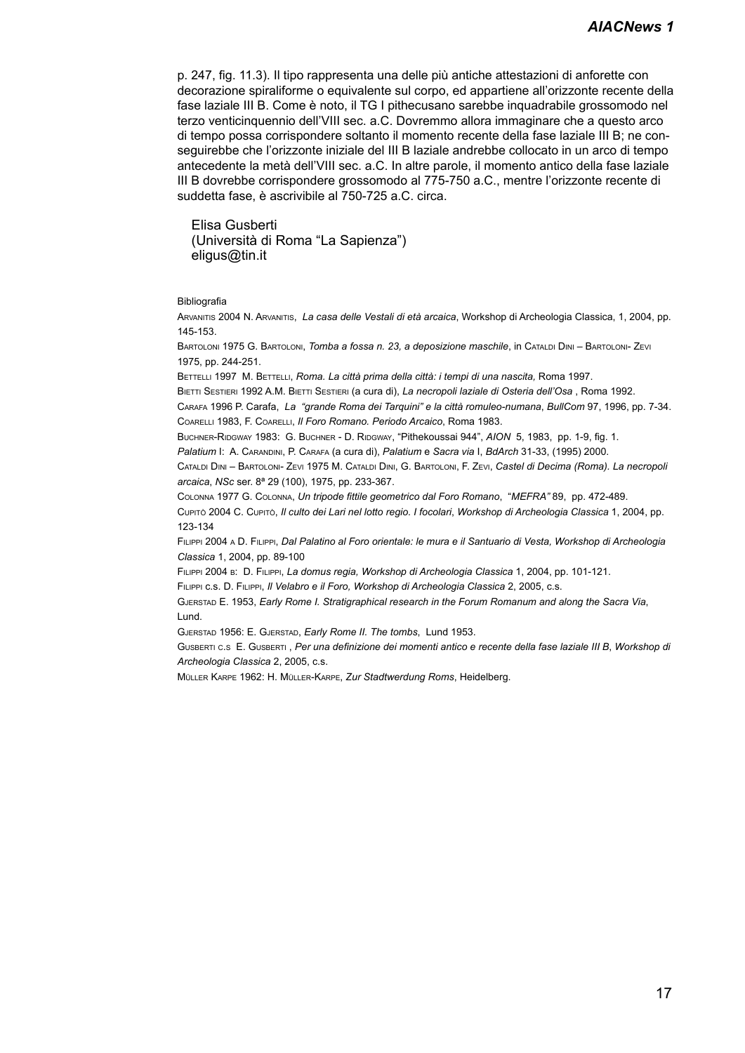p. 247, fig. 11.3). Il tipo rappresenta una delle più antiche attestazioni di anforette con decorazione spiraliforme o equivalente sul corpo, ed appartiene all'orizzonte recente della fase laziale III B. Come è noto, il TG I pithecusano sarebbe inquadrabile grossomodo nel terzo venticinquennio dell'VIII sec. a.C. Dovremmo allora immaginare che a questo arco di tempo possa corrispondere soltanto il momento recente della fase laziale III B; ne conseguirebbe che l'orizzonte iniziale del III B laziale andrebbe collocato in un arco di tempo antecedente la metà dell'VIII sec. a.C. In altre parole, il momento antico della fase laziale III B dovrebbe corrispondere grossomodo al 775-750 a.C., mentre l'orizzonte recente di suddetta fase, è ascrivibile al 750-725 a.C. circa.

Elisa Gusberti (Università di Roma "La Sapienza") eligus@tin.it

**Bibliografia** 

ARVANITIS 2004 N. ARVANITIS, *La casa delle Vestali di età arcaica*, Workshop di Archeologia Classica, 1, 2004, pp. 145-153.

BARTOLONI 1975 G. BARTOLONI, *Tomba a fossa n. 23, a deposizione maschile*, in CATALDI DINI – BARTOLONI- ZEVI 1975, pp. 244-251.

BETTELLI 1997 M. BETTELLI, *Roma. La città prima della città: i tempi di una nascita*, Roma 1997.

BIETTI SESTIERI 1992 A.M. BIETTI SESTIERI (a cura di), *La necropoli laziale di Osteria dell'Osa* , Roma 1992. CARAFA 1996 P. Carafa, *La "grande Roma dei Tarquini" e la città romuleo-numana*, *BullCom* 97, 1996, pp. 7-34.

COARELLI 1983, F. COARELLI, *Il Foro Romano. Periodo Arcaico*, Roma 1983.

BUCHNER-RIDGWAY 1983: G. BUCHNER - D. RIDGWAY, "Pithekoussai 944", *AION* 5, 1983, pp. 1-9, fig. 1.

*Palatium* I: A. CARANDINI, P. CARAFA (a cura di), *Palatium* e *Sacra via* I, *BdArch* 31-33, (1995) 2000.

CATALDI DINI – BARTOLONI- ZEVI 1975 M. CATALDI DINI, G. BARTOLONI, F. ZEVI, *Castel di Decima (Roma). La necropoli arcaica*, *NSc* ser. 8ª 29 (100), 1975, pp. 233-367.

COLONNA 1977 G. COLONNA, *Un tripode fittile geometrico dal Foro Romano*, "*MEFRA"* 89, pp. 472-489. CUPITÒ 2004 C. CUPITÒ, *Il culto dei Lari nel lotto regio. I focolari*, *Workshop di Archeologia Classica* 1, 2004, pp. 123-134

FILIPPI 2004 A D. FILIPPI, *Dal Palatino al Foro orientale: le mura e il Santuario di Vesta, Workshop di Archeologia Classica* 1, 2004, pp. 89-100

FILIPPI 2004 B: D. FILIPPI, *La domus regia, Workshop di Archeologia Classica* 1, 2004, pp. 101-121.

FILIPPI c.s. D. FILIPPI, *Il Velabro e il Foro, Workshop di Archeologia Classica* 2, 2005, c.s.

GJERSTAD E. 1953, *Early Rome I. Stratigraphical research in the Forum Romanum and along the Sacra Via*, Lund.

GJERSTAD 1956: E. GJERSTAD, *Early Rome II. The tombs*, Lund 1953.

GUSBERTI C.S E. GUSBERTI , *Per una definizione dei momenti antico e recente della fase laziale III B*, *Workshop di Archeologia Classica* 2, 2005, c.s.

MÜLLER KARPE 1962: H. MÜLLER-KARPE, *Zur Stadtwerdung Roms*, Heidelberg.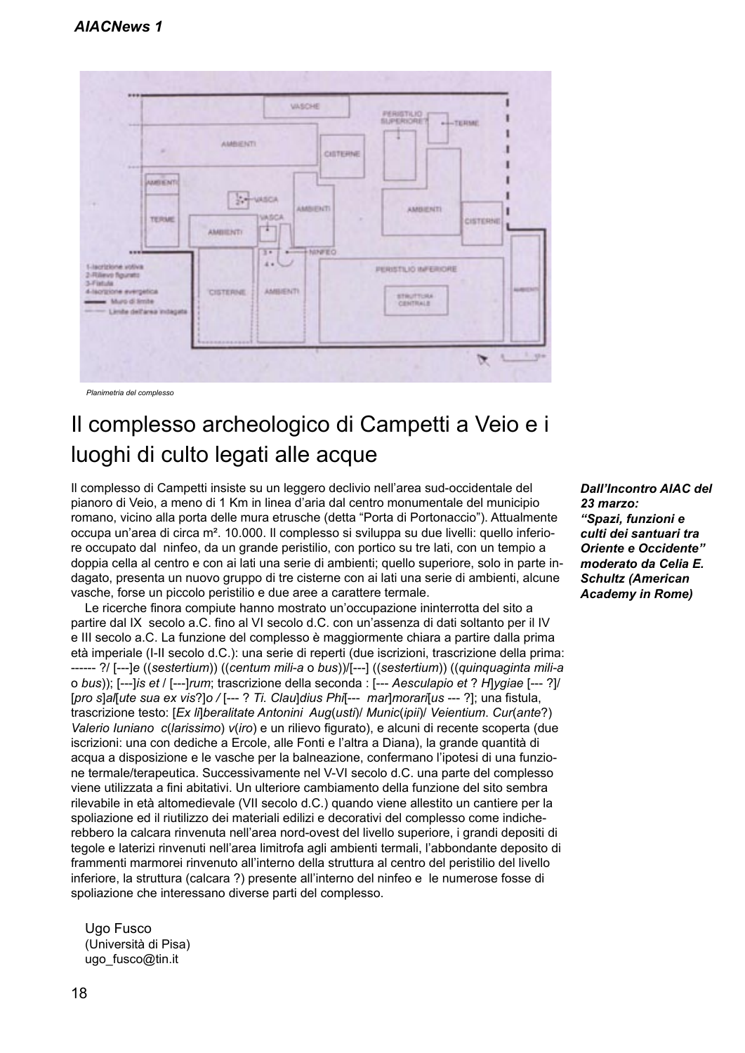

*Planimetria del complesso*

# Il complesso archeologico di Campetti a Veio e i luoghi di culto legati alle acque

Il complesso di Campetti insiste su un leggero declivio nell'area sud-occidentale del pianoro di Veio, a meno di 1 Km in linea d'aria dal centro monumentale del municipio romano, vicino alla porta delle mura etrusche (detta "Porta di Portonaccio"). Attualmente occupa un'area di circa m². 10.000. Il complesso si sviluppa su due livelli: quello inferiore occupato dal ninfeo, da un grande peristilio, con portico su tre lati, con un tempio a doppia cella al centro e con ai lati una serie di ambienti; quello superiore, solo in parte indagato, presenta un nuovo gruppo di tre cisterne con ai lati una serie di ambienti, alcune vasche, forse un piccolo peristilio e due aree a carattere termale.

Le ricerche finora compiute hanno mostrato un'occupazione ininterrotta del sito a partire dal IX secolo a.C. fino al VI secolo d.C. con un'assenza di dati soltanto per il IV e III secolo a.C. La funzione del complesso è maggiormente chiara a partire dalla prima età imperiale (I-II secolo d.C.): una serie di reperti (due iscrizioni, trascrizione della prima: ------ ?/ [---]*e* ((*sestertium*)) ((*centum mili-a* o *bus*))/[---] ((*sestertium*)) ((*quinquaginta mili-a*  o *bus*)); [---]*is et* / [---]*rum*; trascrizione della seconda : [--- *Aesculapio et* ? *H*]*ygiae* [--- ?]/ [*pro s*]*al*[*ute sua ex vis*?]*o /* [--- ? *Ti. Clau*]*dius Phi*[--- *mar*]*morari*[*us* --- ?]; una fistula, trascrizione testo: [*Ex li*]*beralitate Antonini Aug*(*usti*)/ *Munic*(*ipii*)/ *Veientium*. *Cur*(*ante*?) *Valerio Iuniano c*(*larissimo*) *v*(*iro*) e un rilievo figurato), e alcuni di recente scoperta (due iscrizioni: una con dediche a Ercole, alle Fonti e l'altra a Diana), la grande quantità di acqua a disposizione e le vasche per la balneazione, confermano l'ipotesi di una funzione termale/terapeutica. Successivamente nel V-VI secolo d.C. una parte del complesso viene utilizzata a fini abitativi. Un ulteriore cambiamento della funzione del sito sembra rilevabile in età altomedievale (VII secolo d.C.) quando viene allestito un cantiere per la spoliazione ed il riutilizzo dei materiali edilizi e decorativi del complesso come indicherebbero la calcara rinvenuta nell'area nord-ovest del livello superiore, i grandi depositi di tegole e laterizi rinvenuti nell'area limitrofa agli ambienti termali, l'abbondante deposito di frammenti marmorei rinvenuto all'interno della struttura al centro del peristilio del livello inferiore, la struttura (calcara ?) presente all'interno del ninfeo e le numerose fosse di spoliazione che interessano diverse parti del complesso.

Ugo Fusco (Università di Pisa) ugo\_fusco@tin.it

*Dall'Incontro AIAC del 23 marzo: "Spazi, funzioni e culti dei santuari tra Oriente e Occidente" moderato da Celia E. Schultz (American Academy in Rome)*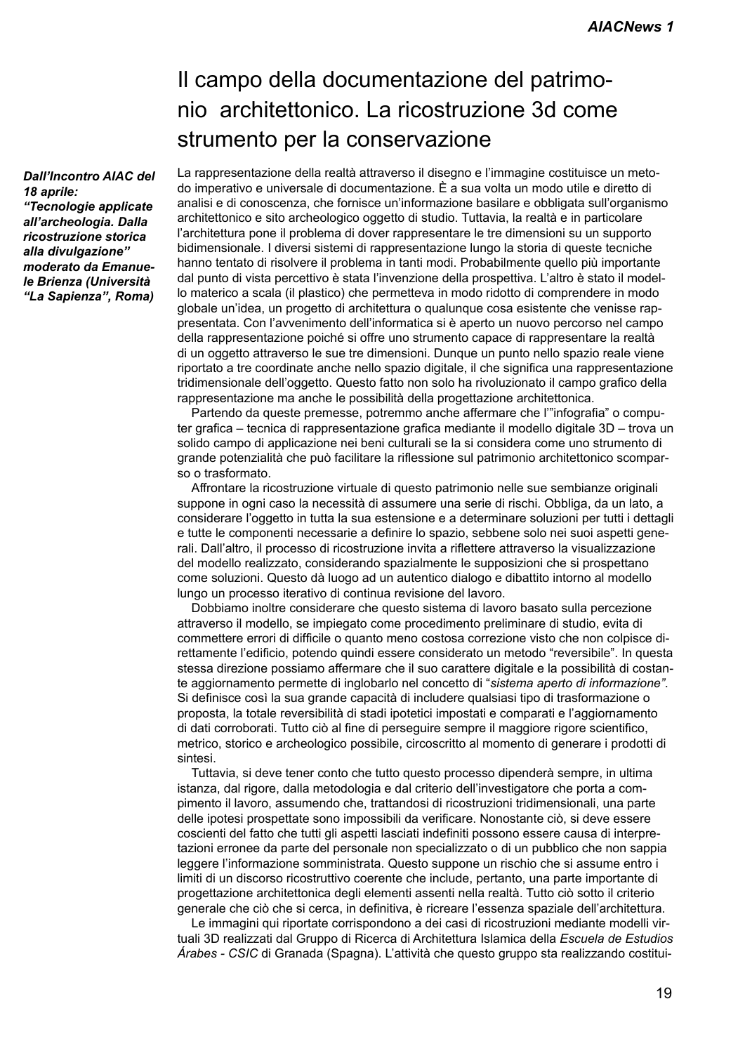## Il campo della documentazione del patrimonio architettonico. La ricostruzione 3d come strumento per la conservazione

La rappresentazione della realtà attraverso il disegno e l'immagine costituisce un metodo imperativo e universale di documentazione. È a sua volta un modo utile e diretto di analisi e di conoscenza, che fornisce un'informazione basilare e obbligata sull'organismo architettonico e sito archeologico oggetto di studio. Tuttavia, la realtà e in particolare l'architettura pone il problema di dover rappresentare le tre dimensioni su un supporto bidimensionale. I diversi sistemi di rappresentazione lungo la storia di queste tecniche hanno tentato di risolvere il problema in tanti modi. Probabilmente quello più importante dal punto di vista percettivo è stata l'invenzione della prospettiva. L'altro è stato il modello materico a scala (il plastico) che permetteva in modo ridotto di comprendere in modo globale un'idea, un progetto di architettura o qualunque cosa esistente che venisse rappresentata. Con l'avvenimento dell'informatica si è aperto un nuovo percorso nel campo della rappresentazione poiché si offre uno strumento capace di rappresentare la realtà di un oggetto attraverso le sue tre dimensioni. Dunque un punto nello spazio reale viene riportato a tre coordinate anche nello spazio digitale, il che significa una rappresentazione tridimensionale dell'oggetto. Questo fatto non solo ha rivoluzionato il campo grafico della rappresentazione ma anche le possibilità della progettazione architettonica.

Partendo da queste premesse, potremmo anche affermare che l'"infografia" o computer grafica – tecnica di rappresentazione grafica mediante il modello digitale 3D – trova un solido campo di applicazione nei beni culturali se la si considera come uno strumento di grande potenzialità che può facilitare la riflessione sul patrimonio architettonico scomparso o trasformato.

Affrontare la ricostruzione virtuale di questo patrimonio nelle sue sembianze originali suppone in ogni caso la necessità di assumere una serie di rischi. Obbliga, da un lato, a considerare l'oggetto in tutta la sua estensione e a determinare soluzioni per tutti i dettagli e tutte le componenti necessarie a definire lo spazio, sebbene solo nei suoi aspetti generali. Dall'altro, il processo di ricostruzione invita a riflettere attraverso la visualizzazione del modello realizzato, considerando spazialmente le supposizioni che si prospettano come soluzioni. Questo dà luogo ad un autentico dialogo e dibattito intorno al modello lungo un processo iterativo di continua revisione del lavoro.

Dobbiamo inoltre considerare che questo sistema di lavoro basato sulla percezione attraverso il modello, se impiegato come procedimento preliminare di studio, evita di commettere errori di difficile o quanto meno costosa correzione visto che non colpisce direttamente l'edificio, potendo quindi essere considerato un metodo "reversibile". In questa stessa direzione possiamo affermare che il suo carattere digitale e la possibilità di costante aggiornamento permette di inglobarlo nel concetto di "*sistema aperto di informazione"*. Si definisce così la sua grande capacità di includere qualsiasi tipo di trasformazione o proposta, la totale reversibilità di stadi ipotetici impostati e comparati e l'aggiornamento di dati corroborati. Tutto ciò al fine di perseguire sempre il maggiore rigore scientifico, metrico, storico e archeologico possibile, circoscritto al momento di generare i prodotti di sintesi.

Tuttavia, si deve tener conto che tutto questo processo dipenderà sempre, in ultima istanza, dal rigore, dalla metodologia e dal criterio dell'investigatore che porta a compimento il lavoro, assumendo che, trattandosi di ricostruzioni tridimensionali, una parte delle ipotesi prospettate sono impossibili da verificare. Nonostante ciò, si deve essere coscienti del fatto che tutti gli aspetti lasciati indefiniti possono essere causa di interpretazioni erronee da parte del personale non specializzato o di un pubblico che non sappia leggere l'informazione somministrata. Questo suppone un rischio che si assume entro i limiti di un discorso ricostruttivo coerente che include, pertanto, una parte importante di progettazione architettonica degli elementi assenti nella realtà. Tutto ciò sotto il criterio generale che ciò che si cerca, in definitiva, è ricreare l'essenza spaziale dell'architettura.

Le immagini qui riportate corrispondono a dei casi di ricostruzioni mediante modelli virtuali 3D realizzati dal Gruppo di Ricerca di Architettura Islamica della *Escuela de Estudios Árabes - CSIC* di Granada (Spagna). L'attività che questo gruppo sta realizzando costitui-

*Dall'Incontro AIAC del 18 aprile:* 

*"Tecnologie applicate all'archeologia. Dalla ricostruzione storica alla divulgazione" moderato da Emanuele Brienza (Università "La Sapienza", Roma)*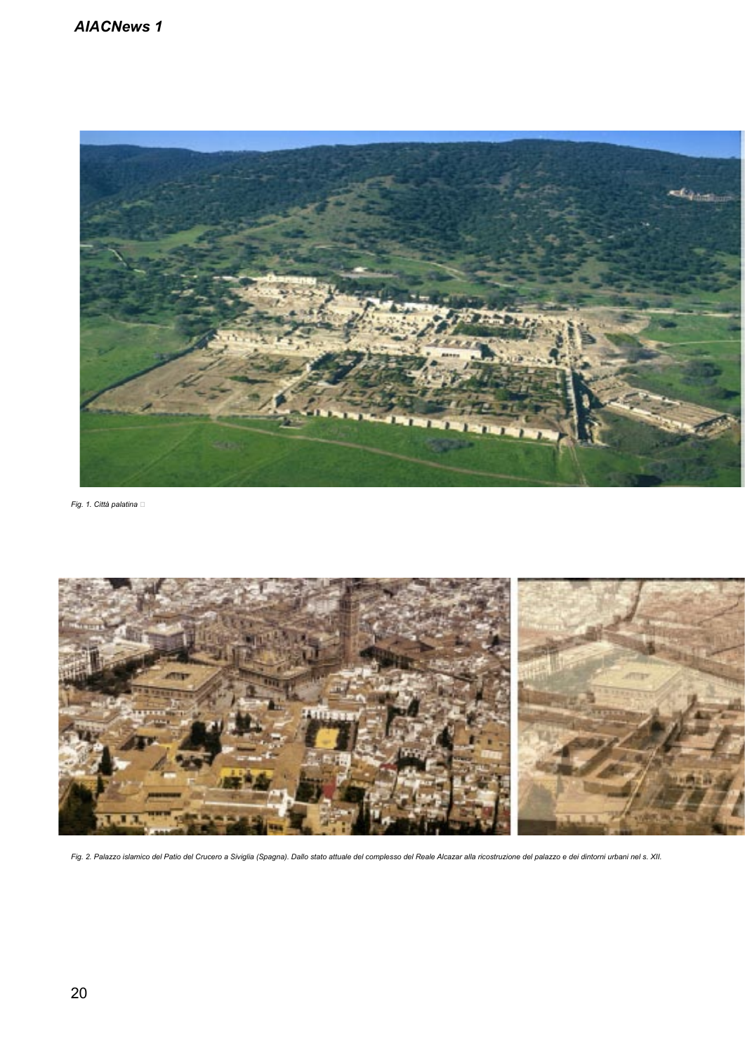

*Fig. 1. Città palatina* 



*Fig. 2. Palazzo islamico del Patio del Crucero a Siviglia (Spagna). Dallo stato attuale del complesso del Reale Alcazar alla ricostruzione del palazzo e dei dintorni urbani nel s. XII.*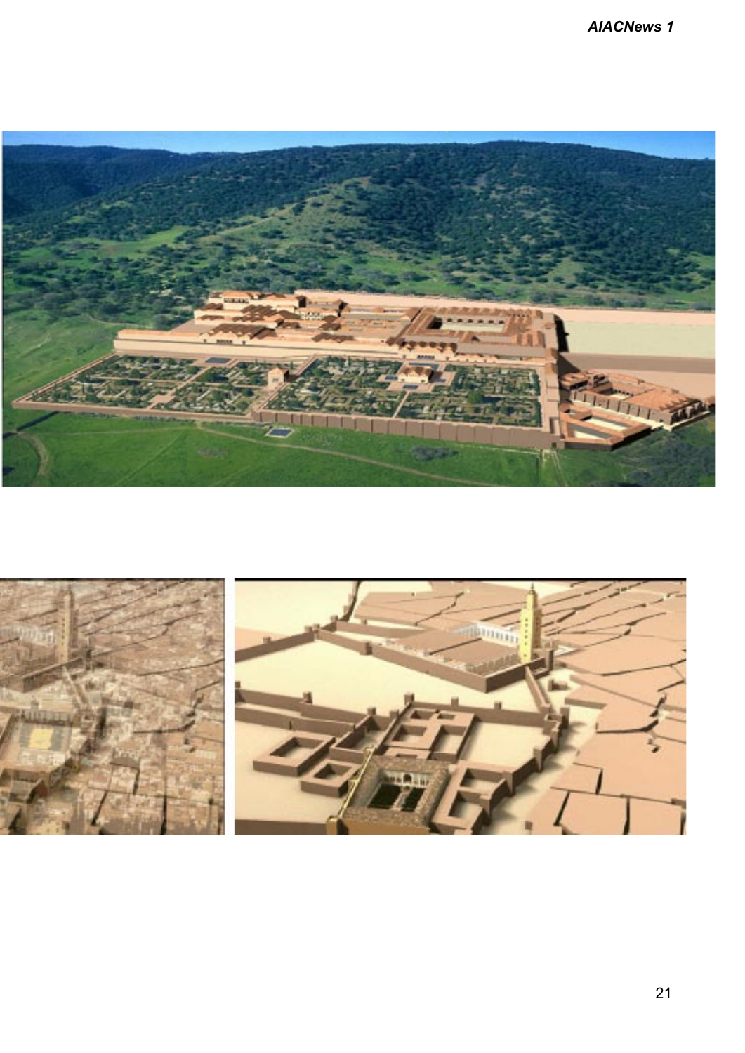*AIACNews 1*





21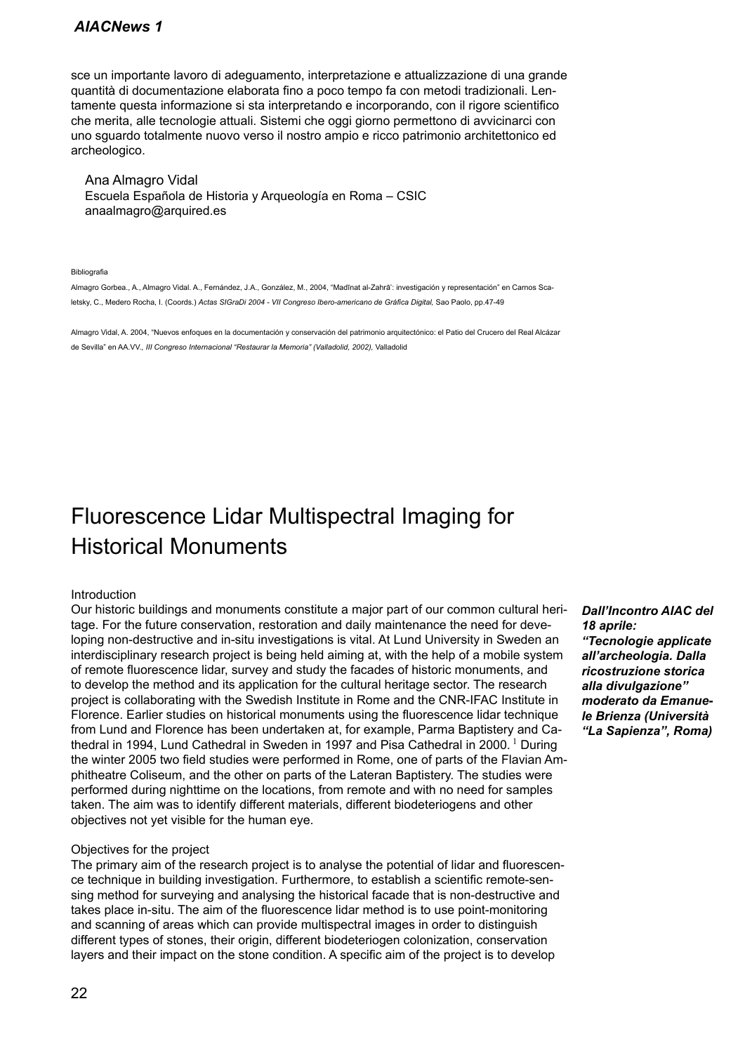sce un importante lavoro di adeguamento, interpretazione e attualizzazione di una grande quantità di documentazione elaborata fino a poco tempo fa con metodi tradizionali. Lentamente questa informazione si sta interpretando e incorporando, con il rigore scientifico che merita, alle tecnologie attuali. Sistemi che oggi giorno permettono di avvicinarci con uno sguardo totalmente nuovo verso il nostro ampio e ricco patrimonio architettonico ed archeologico.

Ana Almagro Vidal Escuela Española de Historia y Arqueología en Roma – CSIC anaalmagro@arquired.es

**Bibliografia** 

Almagro Gorbea., A., Almagro Vidal. A., Fernández, J.A., González, M., 2004, "Madīnat al-Zahrā': investigación y representación" en Carnos Scaletsky, C., Medero Rocha, I. (Coords.) *Actas SIGraDi 2004 - VII Congreso Ibero-americano de Gráfica Digital,* Sao Paolo, pp.47-49

Almagro Vidal, A. 2004, "Nuevos enfoques en la documentación y conservación del patrimonio arquitectónico: el Patio del Crucero del Real Alcázar de Sevilla" en AA.VV.*, III Congreso Internacional "Restaurar la Memoria" (Valladolid, 2002),* Valladolid

# Fluorescence Lidar Multispectral Imaging for Historical Monuments

#### Introduction

Our historic buildings and monuments constitute a major part of our common cultural heritage. For the future conservation, restoration and daily maintenance the need for developing non-destructive and in-situ investigations is vital. At Lund University in Sweden an interdisciplinary research project is being held aiming at, with the help of a mobile system of remote fluorescence lidar, survey and study the facades of historic monuments, and to develop the method and its application for the cultural heritage sector. The research project is collaborating with the Swedish Institute in Rome and the CNR-IFAC Institute in Florence. Earlier studies on historical monuments using the fluorescence lidar technique from Lund and Florence has been undertaken at, for example, Parma Baptistery and Cathedral in 1994, Lund Cathedral in Sweden in 1997 and Pisa Cathedral in 2000.<sup>1</sup> During the winter 2005 two field studies were performed in Rome, one of parts of the Flavian Amphitheatre Coliseum, and the other on parts of the Lateran Baptistery. The studies were performed during nighttime on the locations, from remote and with no need for samples taken. The aim was to identify different materials, different biodeteriogens and other objectives not yet visible for the human eye.

#### Objectives for the project

The primary aim of the research project is to analyse the potential of lidar and fluorescence technique in building investigation. Furthermore, to establish a scientific remote-sensing method for surveying and analysing the historical facade that is non-destructive and takes place in-situ. The aim of the fluorescence lidar method is to use point-monitoring and scanning of areas which can provide multispectral images in order to distinguish different types of stones, their origin, different biodeteriogen colonization, conservation layers and their impact on the stone condition. A specific aim of the project is to develop

*Dall'Incontro AIAC del 18 aprile: "Tecnologie applicate all'archeologia. Dalla ricostruzione storica alla divulgazione" moderato da Emanuele Brienza (Università "La Sapienza", Roma)*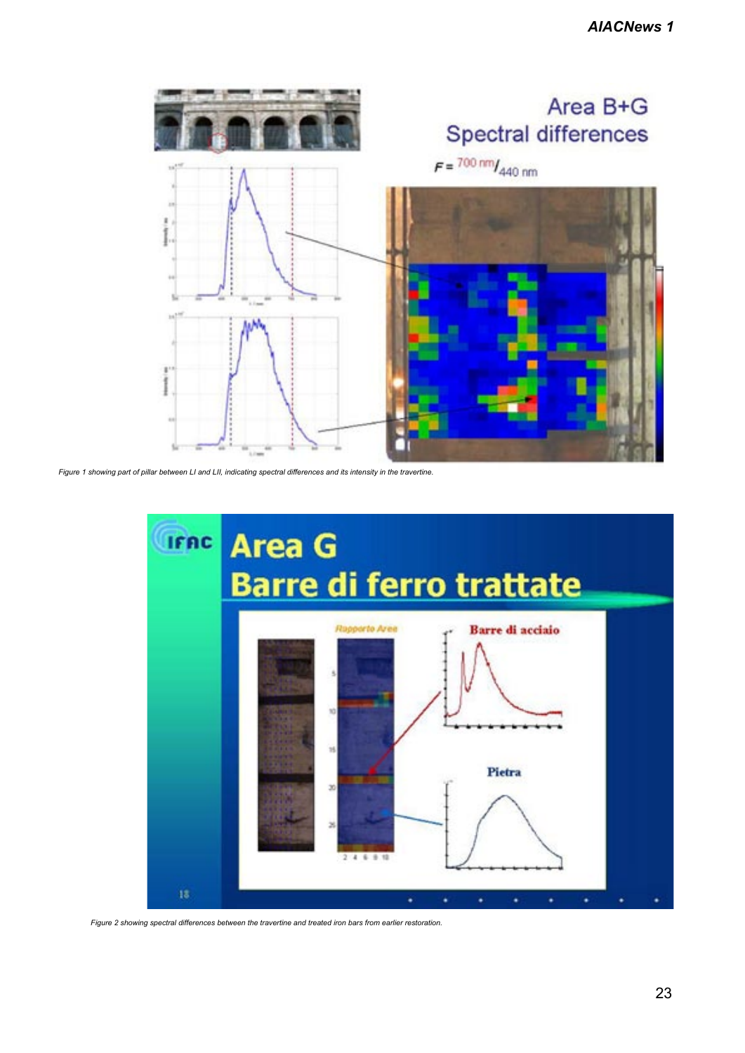

*Figure 1 showing part of pillar between LI and LII, indicating spectral differences and its intensity in the travertine.* 



 *Figure 2 showing spectral differences between the travertine and treated iron bars from earlier restoration.*